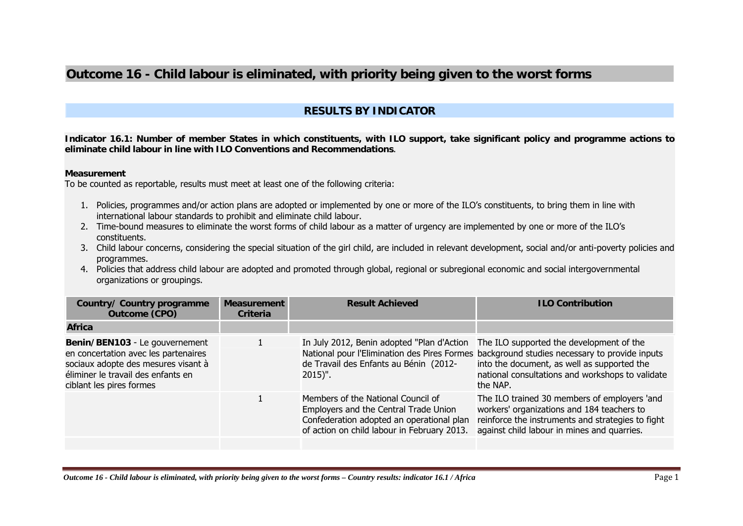## **Outcome 16 - Child labour is eliminated, with priority being given to the worst forms**

## **RESULTS BY INDICATOR**

**Indicator 16.1: Number of member States in which constituents, with ILO support, take significant policy and programme actions to eliminate child labour in line with ILO Conventions and Recommendations**.

## **Measurement**

To be counted as reportable, results must meet at least one of the following criteria:

- 1. Policies, programmes and/or action plans are adopted or implemented by one or more of the ILO's constituents, to bring them in line with international labour standards to prohibit and eliminate child labour.
- 2. Time-bound measures to eliminate the worst forms of child labour as a matter of urgency are implemented by one or more of the ILO's constituents.
- 3. Child labour concerns, considering the special situation of the girl child, are included in relevant development, social and/or anti-poverty policies and programmes.
- 4. Policies that address child labour are adopted and promoted through global, regional or subregional economic and social intergovernmental organizations or groupings.

| Country/ Country programme<br><b>Outcome (CPO)</b>                                                                                                                              | <b>Measurement</b><br><b>Criteria</b> | <b>Result Achieved</b>                                                                                                                                                  | <b>ILO Contribution</b>                                                                                                                                                                                                                                |
|---------------------------------------------------------------------------------------------------------------------------------------------------------------------------------|---------------------------------------|-------------------------------------------------------------------------------------------------------------------------------------------------------------------------|--------------------------------------------------------------------------------------------------------------------------------------------------------------------------------------------------------------------------------------------------------|
| Africa                                                                                                                                                                          |                                       |                                                                                                                                                                         |                                                                                                                                                                                                                                                        |
| Benin/BEN103 - Le gouvernement<br>en concertation avec les partenaires<br>sociaux adopte des mesures visant à<br>éliminer le travail des enfants en<br>ciblant les pires formes |                                       | In July 2012, Benin adopted "Plan d'Action<br>de Travail des Enfants au Bénin (2012-<br>$2015$ ".                                                                       | The ILO supported the development of the<br>National pour l'Elimination des Pires Formes background studies necessary to provide inputs<br>into the document, as well as supported the<br>national consultations and workshops to validate<br>the NAP. |
|                                                                                                                                                                                 |                                       | Members of the National Council of<br>Employers and the Central Trade Union<br>Confederation adopted an operational plan<br>of action on child labour in February 2013. | The ILO trained 30 members of employers 'and<br>workers' organizations and 184 teachers to<br>reinforce the instruments and strategies to fight<br>against child labour in mines and quarries.                                                         |
|                                                                                                                                                                                 |                                       |                                                                                                                                                                         |                                                                                                                                                                                                                                                        |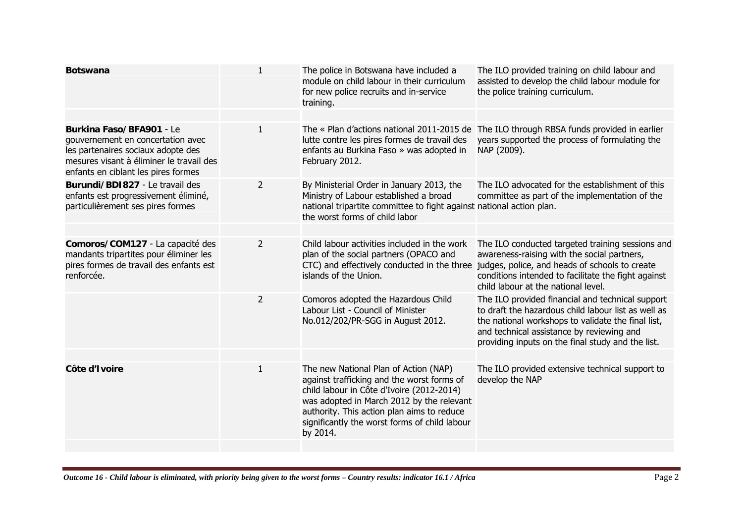| <b>Botswana</b>                                                                                                                                                                        | $\mathbf{1}$   | The police in Botswana have included a<br>module on child labour in their curriculum<br>for new police recruits and in-service<br>training.                                                                                                                                              | The ILO provided training on child labour and<br>assisted to develop the child labour module for<br>the police training curriculum.                                                                                                                             |
|----------------------------------------------------------------------------------------------------------------------------------------------------------------------------------------|----------------|------------------------------------------------------------------------------------------------------------------------------------------------------------------------------------------------------------------------------------------------------------------------------------------|-----------------------------------------------------------------------------------------------------------------------------------------------------------------------------------------------------------------------------------------------------------------|
| Burkina Faso/BFA901 - Le<br>gouvernement en concertation avec<br>les partenaires sociaux adopte des<br>mesures visant à éliminer le travail des<br>enfants en ciblant les pires formes | $\mathbf{1}$   | lutte contre les pires formes de travail des<br>enfants au Burkina Faso » was adopted in<br>February 2012.                                                                                                                                                                               | The « Plan d'actions national 2011-2015 de The ILO through RBSA funds provided in earlier<br>years supported the process of formulating the<br>NAP (2009).                                                                                                      |
| Burundi/BDI827 - Le travail des<br>enfants est progressivement éliminé,<br>particulièrement ses pires formes                                                                           | 2              | By Ministerial Order in January 2013, the<br>Ministry of Labour established a broad<br>national tripartite committee to fight against national action plan.<br>the worst forms of child labor                                                                                            | The ILO advocated for the establishment of this<br>committee as part of the implementation of the                                                                                                                                                               |
| Comoros/COM127 - La capacité des<br>mandants tripartites pour éliminer les<br>pires formes de travail des enfants est<br>renforcée.                                                    | $\overline{2}$ | Child labour activities included in the work<br>plan of the social partners (OPACO and<br>CTC) and effectively conducted in the three<br>islands of the Union.                                                                                                                           | The ILO conducted targeted training sessions and<br>awareness-raising with the social partners,<br>judges, police, and heads of schools to create<br>conditions intended to facilitate the fight against<br>child labour at the national level.                 |
|                                                                                                                                                                                        | $\overline{2}$ | Comoros adopted the Hazardous Child<br>Labour List - Council of Minister<br>No.012/202/PR-SGG in August 2012.                                                                                                                                                                            | The ILO provided financial and technical support<br>to draft the hazardous child labour list as well as<br>the national workshops to validate the final list,<br>and technical assistance by reviewing and<br>providing inputs on the final study and the list. |
|                                                                                                                                                                                        |                |                                                                                                                                                                                                                                                                                          |                                                                                                                                                                                                                                                                 |
| Côte d'Ivoire                                                                                                                                                                          | $\mathbf{1}$   | The new National Plan of Action (NAP)<br>against trafficking and the worst forms of<br>child labour in Côte d'Ivoire (2012-2014)<br>was adopted in March 2012 by the relevant<br>authority. This action plan aims to reduce<br>significantly the worst forms of child labour<br>by 2014. | The ILO provided extensive technical support to<br>develop the NAP                                                                                                                                                                                              |
|                                                                                                                                                                                        |                |                                                                                                                                                                                                                                                                                          |                                                                                                                                                                                                                                                                 |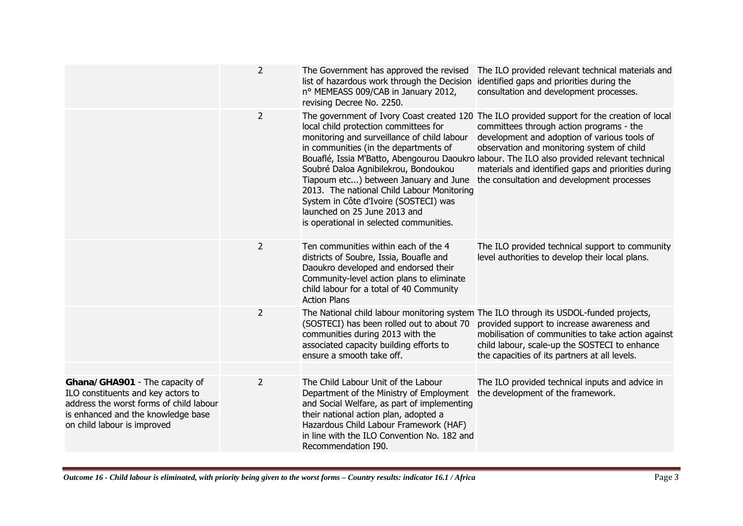|                                                                                                                                                                                      | $\overline{2}$ | The Government has approved the revised<br>list of hazardous work through the Decision<br>nº MEMEASS 009/CAB in January 2012,<br>revising Decree No. 2250.                                                                                                                                                                                                                       | The ILO provided relevant technical materials and<br>identified gaps and priorities during the<br>consultation and development processes.                                                                                                                                                                                                                                                                                                  |
|--------------------------------------------------------------------------------------------------------------------------------------------------------------------------------------|----------------|----------------------------------------------------------------------------------------------------------------------------------------------------------------------------------------------------------------------------------------------------------------------------------------------------------------------------------------------------------------------------------|--------------------------------------------------------------------------------------------------------------------------------------------------------------------------------------------------------------------------------------------------------------------------------------------------------------------------------------------------------------------------------------------------------------------------------------------|
|                                                                                                                                                                                      | $\overline{2}$ | local child protection committees for<br>monitoring and surveillance of child labour<br>in communities (in the departments of<br>Soubré Daloa Agnibilekrou, Bondoukou<br>Tiapoum etc) between January and June<br>2013. The national Child Labour Monitoring<br>System in Côte d'Ivoire (SOSTECI) was<br>launched on 25 June 2013 and<br>is operational in selected communities. | The government of Ivory Coast created 120 The ILO provided support for the creation of local<br>committees through action programs - the<br>development and adoption of various tools of<br>observation and monitoring system of child<br>Bouaflé, Issia M'Batto, Abengourou Daoukro labour. The ILO also provided relevant technical<br>materials and identified gaps and priorities during<br>the consultation and development processes |
|                                                                                                                                                                                      | $\overline{2}$ | Ten communities within each of the 4<br>districts of Soubre, Issia, Bouafle and<br>Daoukro developed and endorsed their<br>Community-level action plans to eliminate<br>child labour for a total of 40 Community<br><b>Action Plans</b>                                                                                                                                          | The ILO provided technical support to community<br>level authorities to develop their local plans.                                                                                                                                                                                                                                                                                                                                         |
|                                                                                                                                                                                      | $\overline{2}$ | (SOSTECI) has been rolled out to about 70<br>communities during 2013 with the<br>associated capacity building efforts to<br>ensure a smooth take off.                                                                                                                                                                                                                            | The National child labour monitoring system The ILO through its USDOL-funded projects,<br>provided support to increase awareness and<br>mobilisation of communities to take action against<br>child labour, scale-up the SOSTECI to enhance<br>the capacities of its partners at all levels.                                                                                                                                               |
| Ghana/GHA901 - The capacity of<br>ILO constituents and key actors to<br>address the worst forms of child labour<br>is enhanced and the knowledge base<br>on child labour is improved | 2              | The Child Labour Unit of the Labour<br>Department of the Ministry of Employment<br>and Social Welfare, as part of implementing<br>their national action plan, adopted a<br>Hazardous Child Labour Framework (HAF)<br>in line with the ILO Convention No. 182 and<br>Recommendation I90.                                                                                          | The ILO provided technical inputs and advice in<br>the development of the framework.                                                                                                                                                                                                                                                                                                                                                       |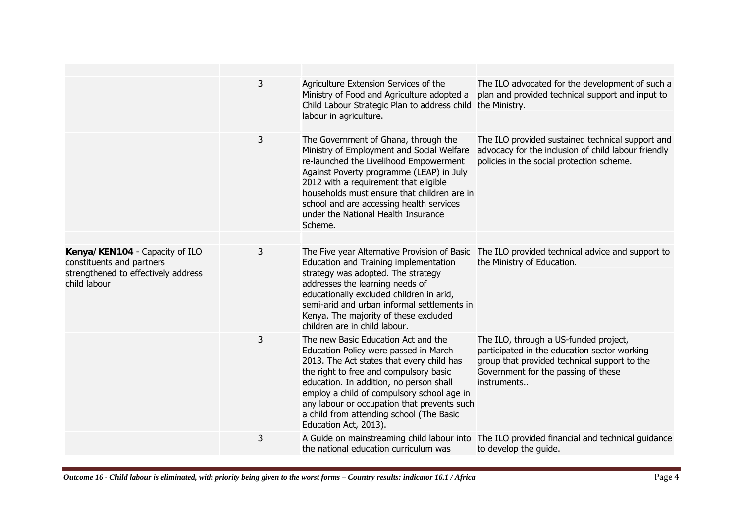|                                                                                                                    | 3 | Agriculture Extension Services of the<br>Ministry of Food and Agriculture adopted a<br>Child Labour Strategic Plan to address child the Ministry.<br>labour in agriculture.                                                                                                                                                                                                      | The ILO advocated for the development of such a<br>plan and provided technical support and input to                                                                                         |
|--------------------------------------------------------------------------------------------------------------------|---|----------------------------------------------------------------------------------------------------------------------------------------------------------------------------------------------------------------------------------------------------------------------------------------------------------------------------------------------------------------------------------|---------------------------------------------------------------------------------------------------------------------------------------------------------------------------------------------|
|                                                                                                                    | 3 | The Government of Ghana, through the<br>Ministry of Employment and Social Welfare<br>re-launched the Livelihood Empowerment<br>Against Poverty programme (LEAP) in July<br>2012 with a requirement that eligible<br>households must ensure that children are in<br>school and are accessing health services<br>under the National Health Insurance<br>Scheme.                    | The ILO provided sustained technical support and<br>advocacy for the inclusion of child labour friendly<br>policies in the social protection scheme.                                        |
| Kenya/KEN104 - Capacity of ILO<br>constituents and partners<br>strengthened to effectively address<br>child labour | 3 | Education and Training implementation<br>strategy was adopted. The strategy<br>addresses the learning needs of<br>educationally excluded children in arid,<br>semi-arid and urban informal settlements in<br>Kenya. The majority of these excluded<br>children are in child labour.                                                                                              | The Five year Alternative Provision of Basic The ILO provided technical advice and support to<br>the Ministry of Education.                                                                 |
|                                                                                                                    | 3 | The new Basic Education Act and the<br>Education Policy were passed in March<br>2013. The Act states that every child has<br>the right to free and compulsory basic<br>education. In addition, no person shall<br>employ a child of compulsory school age in<br>any labour or occupation that prevents such<br>a child from attending school (The Basic<br>Education Act, 2013). | The ILO, through a US-funded project,<br>participated in the education sector working<br>group that provided technical support to the<br>Government for the passing of these<br>instruments |
|                                                                                                                    | 3 | the national education curriculum was                                                                                                                                                                                                                                                                                                                                            | A Guide on mainstreaming child labour into The ILO provided financial and technical guidance<br>to develop the guide.                                                                       |
|                                                                                                                    |   |                                                                                                                                                                                                                                                                                                                                                                                  |                                                                                                                                                                                             |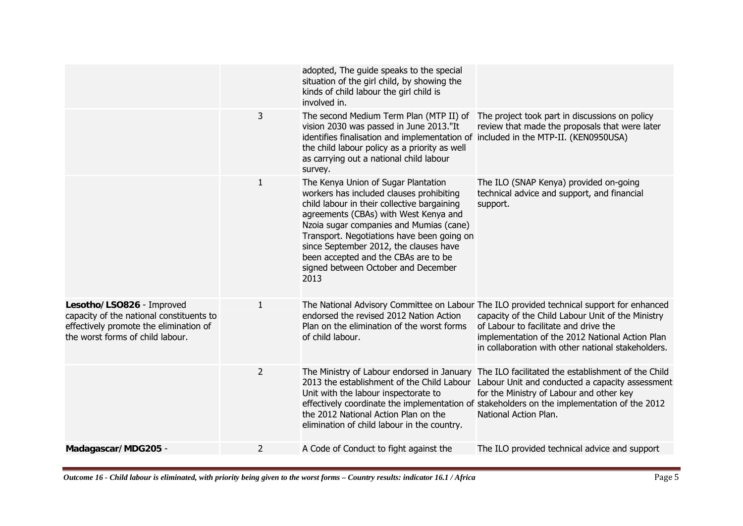|                                                                                                                                                     |                | adopted, The guide speaks to the special<br>situation of the girl child, by showing the<br>kinds of child labour the girl child is<br>involved in.                                                                                                                                                                                                                                                |                                                                                                                                                                                                                                                                                                  |
|-----------------------------------------------------------------------------------------------------------------------------------------------------|----------------|---------------------------------------------------------------------------------------------------------------------------------------------------------------------------------------------------------------------------------------------------------------------------------------------------------------------------------------------------------------------------------------------------|--------------------------------------------------------------------------------------------------------------------------------------------------------------------------------------------------------------------------------------------------------------------------------------------------|
|                                                                                                                                                     | 3              | The second Medium Term Plan (MTP II) of<br>vision 2030 was passed in June 2013."It<br>identifies finalisation and implementation of included in the MTP-II. (KEN0950USA)<br>the child labour policy as a priority as well<br>as carrying out a national child labour<br>survey.                                                                                                                   | The project took part in discussions on policy<br>review that made the proposals that were later                                                                                                                                                                                                 |
|                                                                                                                                                     | 1              | The Kenya Union of Sugar Plantation<br>workers has included clauses prohibiting<br>child labour in their collective bargaining<br>agreements (CBAs) with West Kenya and<br>Nzoia sugar companies and Mumias (cane)<br>Transport. Negotiations have been going on<br>since September 2012, the clauses have<br>been accepted and the CBAs are to be<br>signed between October and December<br>2013 | The ILO (SNAP Kenya) provided on-going<br>technical advice and support, and financial<br>support.                                                                                                                                                                                                |
| Lesotho/LSO826 - Improved<br>capacity of the national constituents to<br>effectively promote the elimination of<br>the worst forms of child labour. | $\mathbf{1}$   | endorsed the revised 2012 Nation Action<br>Plan on the elimination of the worst forms<br>of child labour.                                                                                                                                                                                                                                                                                         | The National Advisory Committee on Labour The ILO provided technical support for enhanced<br>capacity of the Child Labour Unit of the Ministry<br>of Labour to facilitate and drive the<br>implementation of the 2012 National Action Plan<br>in collaboration with other national stakeholders. |
|                                                                                                                                                     | $\overline{2}$ | The Ministry of Labour endorsed in January<br>2013 the establishment of the Child Labour<br>Unit with the labour inspectorate to<br>the 2012 National Action Plan on the<br>elimination of child labour in the country.                                                                                                                                                                           | The ILO facilitated the establishment of the Child<br>Labour Unit and conducted a capacity assessment<br>for the Ministry of Labour and other key<br>effectively coordinate the implementation of stakeholders on the implementation of the 2012<br>National Action Plan.                        |
| Madagascar/MDG205 -                                                                                                                                 | $\overline{2}$ | A Code of Conduct to fight against the                                                                                                                                                                                                                                                                                                                                                            | The ILO provided technical advice and support                                                                                                                                                                                                                                                    |
|                                                                                                                                                     |                |                                                                                                                                                                                                                                                                                                                                                                                                   |                                                                                                                                                                                                                                                                                                  |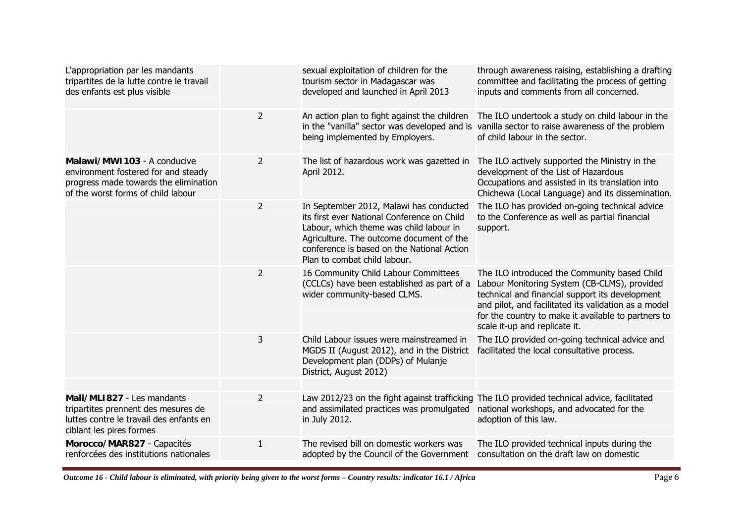|                | sexual exploitation of children for the<br>tourism sector in Madagascar was<br>developed and launched in April 2013                                                                                                                                         | through awareness raising, establishing a drafting<br>committee and facilitating the process of getting<br>inputs and comments from all concerned.                                                                                                                                              |
|----------------|-------------------------------------------------------------------------------------------------------------------------------------------------------------------------------------------------------------------------------------------------------------|-------------------------------------------------------------------------------------------------------------------------------------------------------------------------------------------------------------------------------------------------------------------------------------------------|
| $\overline{2}$ | An action plan to fight against the children<br>being implemented by Employers.                                                                                                                                                                             | The ILO undertook a study on child labour in the<br>in the "vanilla" sector was developed and is vanilla sector to raise awareness of the problem<br>of child labour in the sector.                                                                                                             |
| 2              | The list of hazardous work was gazetted in<br>April 2012.                                                                                                                                                                                                   | The ILO actively supported the Ministry in the<br>development of the List of Hazardous<br>Occupations and assisted in its translation into<br>Chichewa (Local Language) and its dissemination.                                                                                                  |
| $\overline{2}$ | In September 2012, Malawi has conducted<br>its first ever National Conference on Child<br>Labour, which theme was child labour in<br>Agriculture. The outcome document of the<br>conference is based on the National Action<br>Plan to combat child labour. | The ILO has provided on-going technical advice<br>to the Conference as well as partial financial<br>support.                                                                                                                                                                                    |
| $\overline{2}$ | 16 Community Child Labour Committees<br>(CCLCs) have been established as part of a<br>wider community-based CLMS.                                                                                                                                           | The ILO introduced the Community based Child<br>Labour Monitoring System (CB-CLMS), provided<br>technical and financial support its development<br>and pilot, and facilitated its validation as a model<br>for the country to make it available to partners to<br>scale it-up and replicate it. |
| 3              | Child Labour issues were mainstreamed in<br>MGDS II (August 2012), and in the District<br>Development plan (DDPs) of Mulanje<br>District, August 2012)                                                                                                      | The ILO provided on-going technical advice and<br>facilitated the local consultative process.                                                                                                                                                                                                   |
|                |                                                                                                                                                                                                                                                             |                                                                                                                                                                                                                                                                                                 |
| $\overline{2}$ | and assimilated practices was promulgated<br>in July 2012.                                                                                                                                                                                                  | Law 2012/23 on the fight against trafficking The ILO provided technical advice, facilitated<br>national workshops, and advocated for the<br>adoption of this law.                                                                                                                               |
| $\mathbf{1}$   | The revised bill on domestic workers was<br>adopted by the Council of the Government                                                                                                                                                                        | The ILO provided technical inputs during the<br>consultation on the draft law on domestic                                                                                                                                                                                                       |
|                |                                                                                                                                                                                                                                                             |                                                                                                                                                                                                                                                                                                 |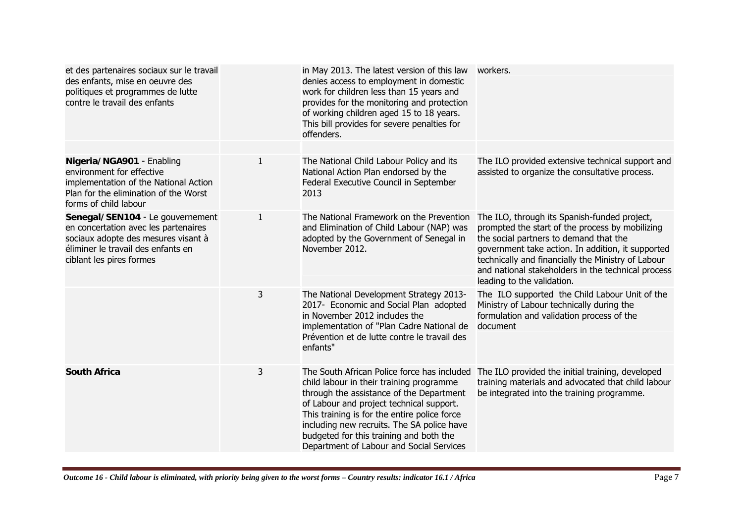| et des partenaires sociaux sur le travail<br>des enfants, mise en oeuvre des<br>politiques et programmes de lutte<br>contre le travail des enfants                                |              | in May 2013. The latest version of this law<br>denies access to employment in domestic<br>work for children less than 15 years and<br>provides for the monitoring and protection<br>of working children aged 15 to 18 years.<br>This bill provides for severe penalties for<br>offenders.                                                                            | workers.                                                                                                                                                                                                                                                                                                                                 |
|-----------------------------------------------------------------------------------------------------------------------------------------------------------------------------------|--------------|----------------------------------------------------------------------------------------------------------------------------------------------------------------------------------------------------------------------------------------------------------------------------------------------------------------------------------------------------------------------|------------------------------------------------------------------------------------------------------------------------------------------------------------------------------------------------------------------------------------------------------------------------------------------------------------------------------------------|
|                                                                                                                                                                                   |              |                                                                                                                                                                                                                                                                                                                                                                      |                                                                                                                                                                                                                                                                                                                                          |
| Nigeria/NGA901 - Enabling<br>environment for effective<br>implementation of the National Action<br>Plan for the elimination of the Worst<br>forms of child labour                 | $\mathbf{1}$ | The National Child Labour Policy and its<br>National Action Plan endorsed by the<br>Federal Executive Council in September<br>2013                                                                                                                                                                                                                                   | The ILO provided extensive technical support and<br>assisted to organize the consultative process.                                                                                                                                                                                                                                       |
| Senegal/SEN104 - Le gouvernement<br>en concertation avec les partenaires<br>sociaux adopte des mesures visant à<br>éliminer le travail des enfants en<br>ciblant les pires formes | 1            | The National Framework on the Prevention<br>and Elimination of Child Labour (NAP) was<br>adopted by the Government of Senegal in<br>November 2012.                                                                                                                                                                                                                   | The ILO, through its Spanish-funded project,<br>prompted the start of the process by mobilizing<br>the social partners to demand that the<br>government take action. In addition, it supported<br>technically and financially the Ministry of Labour<br>and national stakeholders in the technical process<br>leading to the validation. |
|                                                                                                                                                                                   | 3            | The National Development Strategy 2013-<br>2017- Economic and Social Plan adopted<br>in November 2012 includes the<br>implementation of "Plan Cadre National de<br>Prévention et de lutte contre le travail des<br>enfants"                                                                                                                                          | The ILO supported the Child Labour Unit of the<br>Ministry of Labour technically during the<br>formulation and validation process of the<br>document                                                                                                                                                                                     |
| <b>South Africa</b>                                                                                                                                                               | 3            | The South African Police force has included<br>child labour in their training programme<br>through the assistance of the Department<br>of Labour and project technical support.<br>This training is for the entire police force<br>including new recruits. The SA police have<br>budgeted for this training and both the<br>Department of Labour and Social Services | The ILO provided the initial training, developed<br>training materials and advocated that child labour<br>be integrated into the training programme.                                                                                                                                                                                     |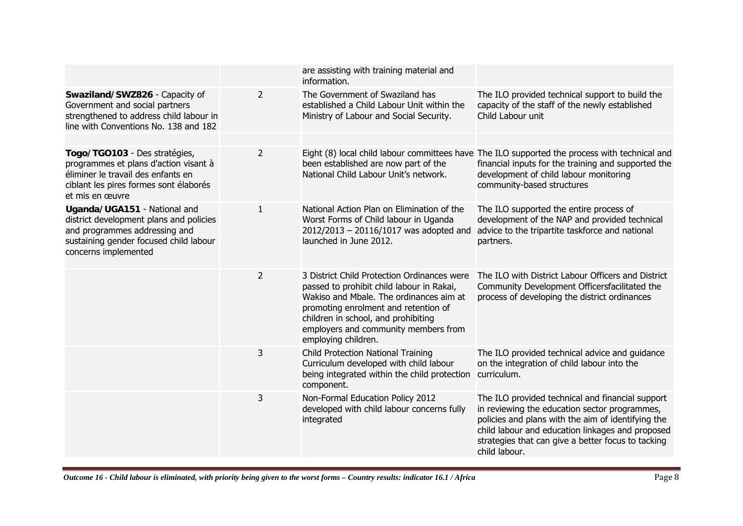|                                                                                                                                                                            |                | are assisting with training material and<br>information.                                                                                                                                                                                                                          |                                                                                                                                                                                                                                                                                    |
|----------------------------------------------------------------------------------------------------------------------------------------------------------------------------|----------------|-----------------------------------------------------------------------------------------------------------------------------------------------------------------------------------------------------------------------------------------------------------------------------------|------------------------------------------------------------------------------------------------------------------------------------------------------------------------------------------------------------------------------------------------------------------------------------|
| Swaziland/SWZ826 - Capacity of<br>Government and social partners<br>strengthened to address child labour in<br>line with Conventions No. 138 and 182                       | $\overline{2}$ | The Government of Swaziland has<br>established a Child Labour Unit within the<br>Ministry of Labour and Social Security.                                                                                                                                                          | The ILO provided technical support to build the<br>capacity of the staff of the newly established<br>Child Labour unit                                                                                                                                                             |
| Togo/TGO103 - Des stratégies,<br>programmes et plans d'action visant à<br>éliminer le travail des enfants en<br>ciblant les pires formes sont élaborés<br>et mis en œuvre  | $\overline{2}$ | been established are now part of the<br>National Child Labour Unit's network.                                                                                                                                                                                                     | Eight (8) local child labour committees have The ILO supported the process with technical and<br>financial inputs for the training and supported the<br>development of child labour monitoring<br>community-based structures                                                       |
| Uganda/UGA151 - National and<br>district development plans and policies<br>and programmes addressing and<br>sustaining gender focused child labour<br>concerns implemented | $\mathbf{1}$   | National Action Plan on Elimination of the<br>Worst Forms of Child labour in Uganda<br>2012/2013 - 20116/1017 was adopted and<br>launched in June 2012.                                                                                                                           | The ILO supported the entire process of<br>development of the NAP and provided technical<br>advice to the tripartite taskforce and national<br>partners.                                                                                                                           |
|                                                                                                                                                                            | $\overline{2}$ | 3 District Child Protection Ordinances were<br>passed to prohibit child labour in Rakai,<br>Wakiso and Mbale. The ordinances aim at<br>promoting enrolment and retention of<br>children in school, and prohibiting<br>employers and community members from<br>employing children. | The ILO with District Labour Officers and District<br>Community Development Officersfacilitated the<br>process of developing the district ordinances                                                                                                                               |
|                                                                                                                                                                            | 3              | <b>Child Protection National Training</b><br>Curriculum developed with child labour<br>being integrated within the child protection<br>component.                                                                                                                                 | The ILO provided technical advice and quidance<br>on the integration of child labour into the<br>curriculum.                                                                                                                                                                       |
|                                                                                                                                                                            | 3              | Non-Formal Education Policy 2012<br>developed with child labour concerns fully<br>integrated                                                                                                                                                                                      | The ILO provided technical and financial support<br>in reviewing the education sector programmes,<br>policies and plans with the aim of identifying the<br>child labour and education linkages and proposed<br>strategies that can give a better focus to tacking<br>child labour. |
|                                                                                                                                                                            |                |                                                                                                                                                                                                                                                                                   |                                                                                                                                                                                                                                                                                    |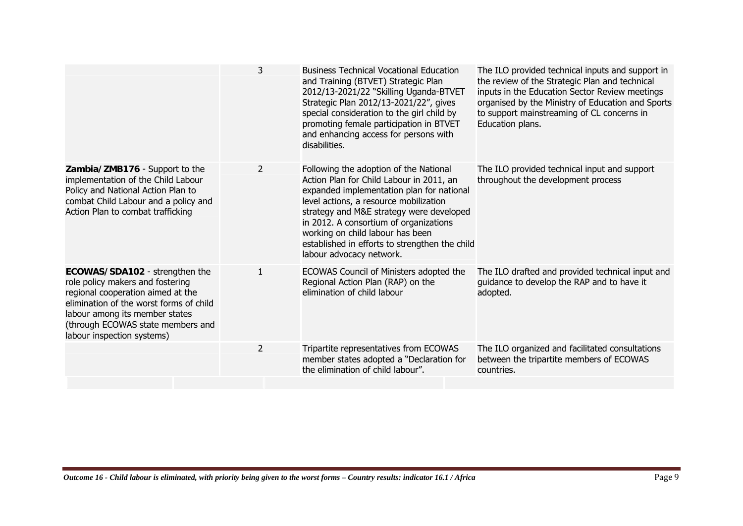|                                                                                                                                                                                                                                                         | 3              | <b>Business Technical Vocational Education</b><br>and Training (BTVET) Strategic Plan<br>2012/13-2021/22 "Skilling Uganda-BTVET<br>Strategic Plan 2012/13-2021/22", gives<br>special consideration to the girl child by<br>promoting female participation in BTVET<br>and enhancing access for persons with<br>disabilities.                                                      | The ILO provided technical inputs and support in<br>the review of the Strategic Plan and technical<br>inputs in the Education Sector Review meetings<br>organised by the Ministry of Education and Sports<br>to support mainstreaming of CL concerns in<br>Education plans. |
|---------------------------------------------------------------------------------------------------------------------------------------------------------------------------------------------------------------------------------------------------------|----------------|-----------------------------------------------------------------------------------------------------------------------------------------------------------------------------------------------------------------------------------------------------------------------------------------------------------------------------------------------------------------------------------|-----------------------------------------------------------------------------------------------------------------------------------------------------------------------------------------------------------------------------------------------------------------------------|
| Zambia/ZMB176 - Support to the<br>implementation of the Child Labour<br>Policy and National Action Plan to<br>combat Child Labour and a policy and<br>Action Plan to combat trafficking                                                                 | $\overline{2}$ | Following the adoption of the National<br>Action Plan for Child Labour in 2011, an<br>expanded implementation plan for national<br>level actions, a resource mobilization<br>strategy and M&E strategy were developed<br>in 2012. A consortium of organizations<br>working on child labour has been<br>established in efforts to strengthen the child<br>labour advocacy network. | The ILO provided technical input and support<br>throughout the development process                                                                                                                                                                                          |
| ECOWAS/SDA102 - strengthen the<br>role policy makers and fostering<br>regional cooperation aimed at the<br>elimination of the worst forms of child<br>labour among its member states<br>(through ECOWAS state members and<br>labour inspection systems) | $\mathbf{1}$   | ECOWAS Council of Ministers adopted the<br>Regional Action Plan (RAP) on the<br>elimination of child labour                                                                                                                                                                                                                                                                       | The ILO drafted and provided technical input and<br>guidance to develop the RAP and to have it<br>adopted.                                                                                                                                                                  |
|                                                                                                                                                                                                                                                         | $\overline{2}$ | Tripartite representatives from ECOWAS<br>member states adopted a "Declaration for<br>the elimination of child labour".                                                                                                                                                                                                                                                           | The ILO organized and facilitated consultations<br>between the tripartite members of ECOWAS<br>countries.                                                                                                                                                                   |
|                                                                                                                                                                                                                                                         |                |                                                                                                                                                                                                                                                                                                                                                                                   |                                                                                                                                                                                                                                                                             |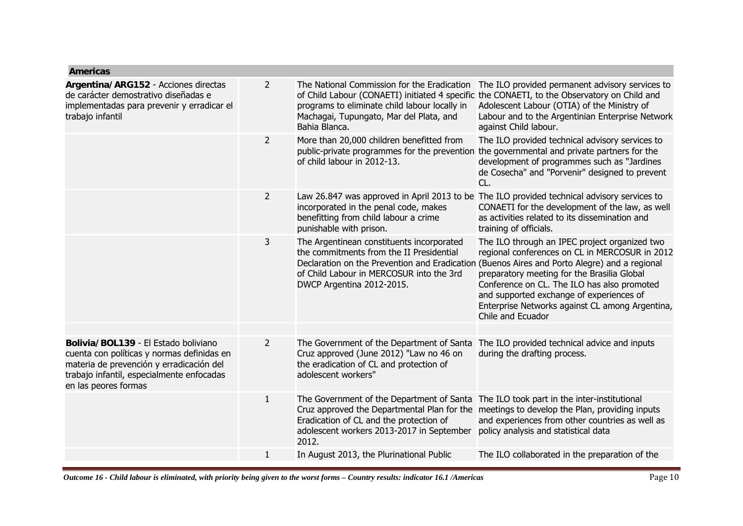| <b>Americas</b>                                                                                                                                                                                     |                |                                                                                                                                                                                           |                                                                                                                                                                                                                                                                                                                                                                                                                   |
|-----------------------------------------------------------------------------------------------------------------------------------------------------------------------------------------------------|----------------|-------------------------------------------------------------------------------------------------------------------------------------------------------------------------------------------|-------------------------------------------------------------------------------------------------------------------------------------------------------------------------------------------------------------------------------------------------------------------------------------------------------------------------------------------------------------------------------------------------------------------|
| Argentina/ARG152 - Acciones directas<br>de carácter demostrativo diseñadas e<br>implementadas para prevenir y erradicar el<br>trabajo infantil                                                      | 2              | The National Commission for the Eradication<br>programs to eliminate child labour locally in<br>Machagai, Tupungato, Mar del Plata, and<br>Bahia Blanca.                                  | The ILO provided permanent advisory services to<br>of Child Labour (CONAETI) initiated 4 specific the CONAETI, to the Observatory on Child and<br>Adolescent Labour (OTIA) of the Ministry of<br>Labour and to the Argentinian Enterprise Network<br>against Child labour.                                                                                                                                        |
|                                                                                                                                                                                                     | $\overline{2}$ | More than 20,000 children benefitted from<br>public-private programmes for the prevention<br>of child labour in 2012-13.                                                                  | The ILO provided technical advisory services to<br>the governmental and private partners for the<br>development of programmes such as "Jardines<br>de Cosecha" and "Porvenir" designed to prevent<br>CL.                                                                                                                                                                                                          |
|                                                                                                                                                                                                     | $\overline{2}$ | Law 26.847 was approved in April 2013 to be<br>incorporated in the penal code, makes<br>benefitting from child labour a crime<br>punishable with prison.                                  | The ILO provided technical advisory services to<br>CONAETI for the development of the law, as well<br>as activities related to its dissemination and<br>training of officials.                                                                                                                                                                                                                                    |
|                                                                                                                                                                                                     | 3              | The Argentinean constituents incorporated<br>the commitments from the II Presidential<br>of Child Labour in MERCOSUR into the 3rd<br>DWCP Argentina 2012-2015.                            | The ILO through an IPEC project organized two<br>regional conferences on CL in MERCOSUR in 2012<br>Declaration on the Prevention and Eradication (Buenos Aires and Porto Alegre) and a regional<br>preparatory meeting for the Brasilia Global<br>Conference on CL. The ILO has also promoted<br>and supported exchange of experiences of<br>Enterprise Networks against CL among Argentina,<br>Chile and Ecuador |
| Bolivia/BOL139 - El Estado boliviano<br>cuenta con políticas y normas definidas en<br>materia de prevención y erradicación del<br>trabajo infantil, especialmente enfocadas<br>en las peores formas | $\overline{2}$ | The Government of the Department of Santa<br>Cruz approved (June 2012) "Law no 46 on<br>the eradication of CL and protection of<br>adolescent workers"                                    | The ILO provided technical advice and inputs<br>during the drafting process.                                                                                                                                                                                                                                                                                                                                      |
|                                                                                                                                                                                                     | $\mathbf{1}$   | The Government of the Department of Santa<br>Cruz approved the Departmental Plan for the<br>Eradication of CL and the protection of<br>adolescent workers 2013-2017 in September<br>2012. | The ILO took part in the inter-institutional<br>meetings to develop the Plan, providing inputs<br>and experiences from other countries as well as<br>policy analysis and statistical data                                                                                                                                                                                                                         |
|                                                                                                                                                                                                     | $\mathbf{1}$   | In August 2013, the Plurinational Public                                                                                                                                                  | The ILO collaborated in the preparation of the                                                                                                                                                                                                                                                                                                                                                                    |
|                                                                                                                                                                                                     |                |                                                                                                                                                                                           |                                                                                                                                                                                                                                                                                                                                                                                                                   |

*Outcome 16 - Child labour is eliminated, with priority being given to the worst forms – Country results: indicator 16.1 /Americas* Page 10 Page 10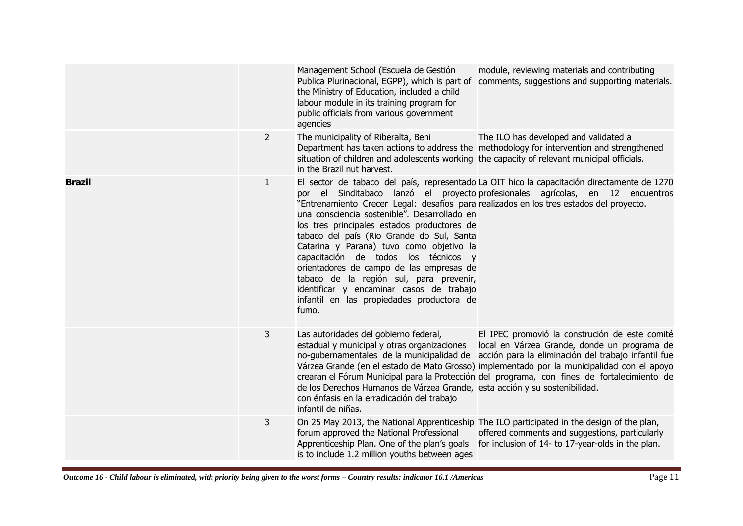|               |                | Management School (Escuela de Gestión<br>Publica Plurinacional, EGPP), which is part of<br>the Ministry of Education, included a child<br>labour module in its training program for<br>public officials from various government<br>agencies                                                                                                                                                                                                                                                                      | module, reviewing materials and contributing<br>comments, suggestions and supporting materials.                                                                                                                                                                                                                                                                                              |
|---------------|----------------|------------------------------------------------------------------------------------------------------------------------------------------------------------------------------------------------------------------------------------------------------------------------------------------------------------------------------------------------------------------------------------------------------------------------------------------------------------------------------------------------------------------|----------------------------------------------------------------------------------------------------------------------------------------------------------------------------------------------------------------------------------------------------------------------------------------------------------------------------------------------------------------------------------------------|
|               | $\overline{2}$ | The municipality of Riberalta, Beni<br>situation of children and adolescents working the capacity of relevant municipal officials.<br>in the Brazil nut harvest.                                                                                                                                                                                                                                                                                                                                                 | The ILO has developed and validated a<br>Department has taken actions to address the methodology for intervention and strengthened                                                                                                                                                                                                                                                           |
| <b>Brazil</b> | 1              | "Entrenamiento Crecer Legal: desafíos para realizados en los tres estados del proyecto.<br>una consciencia sostenible". Desarrollado en<br>los tres principales estados productores de<br>tabaco del país (Rio Grande do Sul, Santa<br>Catarina y Parana) tuvo como objetivo la<br>capacitación de todos los técnicos y<br>orientadores de campo de las empresas de<br>tabaco de la región sul, para prevenir,<br>identificar y encaminar casos de trabajo<br>infantil en las propiedades productora de<br>fumo. | El sector de tabaco del país, representado La OIT hico la capacitación directamente de 1270<br>por el Sinditabaco lanzó el proyecto profesionales agrícolas, en 12 encuentros                                                                                                                                                                                                                |
|               | 3              | Las autoridades del gobierno federal,<br>estadual y municipal y otras organizaciones<br>de los Derechos Humanos de Várzea Grande, esta acción y su sostenibilidad.<br>con énfasis en la erradicación del trabajo<br>infantil de niñas.                                                                                                                                                                                                                                                                           | El IPEC promovió la construción de este comité<br>local en Várzea Grande, donde un programa de<br>no-gubernamentales de la municipalidad de acción para la eliminación del trabajo infantil fue<br>Várzea Grande (en el estado de Mato Grosso) implementado por la municipalidad con el apoyo<br>crearan el Fórum Municipal para la Protección del programa, con fines de fortalecimiento de |
|               | 3              | forum approved the National Professional<br>Apprenticeship Plan. One of the plan's goals<br>is to include 1.2 million youths between ages                                                                                                                                                                                                                                                                                                                                                                        | On 25 May 2013, the National Apprenticeship The ILO participated in the design of the plan,<br>offered comments and suggestions, particularly<br>for inclusion of 14- to 17-year-olds in the plan.                                                                                                                                                                                           |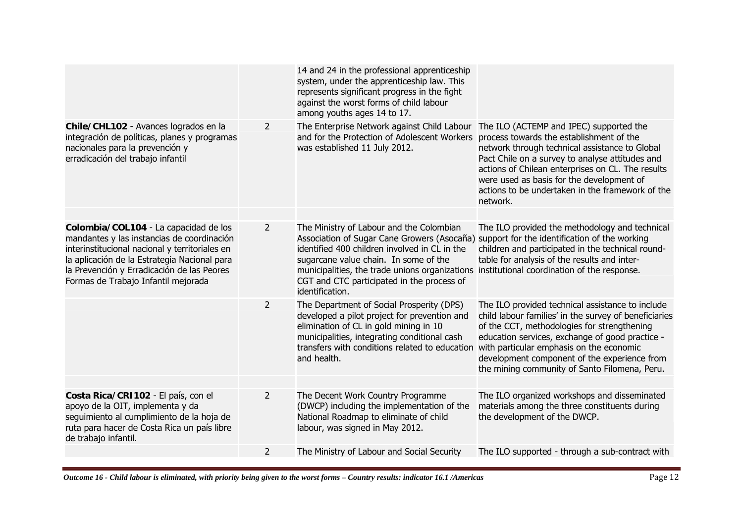|                                                                                                                                                                                                                                                                            |                | 14 and 24 in the professional apprenticeship<br>system, under the apprenticeship law. This<br>represents significant progress in the fight<br>against the worst forms of child labour<br>among youths ages 14 to 17.                                                                                                                                                                           |                                                                                                                                                                                                                                                                                                                                                            |
|----------------------------------------------------------------------------------------------------------------------------------------------------------------------------------------------------------------------------------------------------------------------------|----------------|------------------------------------------------------------------------------------------------------------------------------------------------------------------------------------------------------------------------------------------------------------------------------------------------------------------------------------------------------------------------------------------------|------------------------------------------------------------------------------------------------------------------------------------------------------------------------------------------------------------------------------------------------------------------------------------------------------------------------------------------------------------|
| Chile/CHL102 - Avances logrados en la<br>integración de políticas, planes y programas<br>nacionales para la prevención y<br>erradicación del trabajo infantil                                                                                                              | $\overline{2}$ | The Enterprise Network against Child Labour<br>and for the Protection of Adolescent Workers<br>was established 11 July 2012.                                                                                                                                                                                                                                                                   | The ILO (ACTEMP and IPEC) supported the<br>process towards the establishment of the<br>network through technical assistance to Global<br>Pact Chile on a survey to analyse attitudes and<br>actions of Chilean enterprises on CL. The results<br>were used as basis for the development of<br>actions to be undertaken in the framework of the<br>network. |
|                                                                                                                                                                                                                                                                            |                |                                                                                                                                                                                                                                                                                                                                                                                                |                                                                                                                                                                                                                                                                                                                                                            |
| Colombia/COL104 - La capacidad de los<br>mandantes y las instancias de coordinación<br>interinstitucional nacional y territoriales en<br>la aplicación de la Estrategia Nacional para<br>la Prevención y Erradicación de las Peores<br>Formas de Trabajo Infantil mejorada | $\overline{2}$ | The Ministry of Labour and the Colombian<br>Association of Sugar Cane Growers (Asocaña) support for the identification of the working<br>identified 400 children involved in CL in the<br>sugarcane value chain. In some of the<br>municipalities, the trade unions organizations institutional coordination of the response.<br>CGT and CTC participated in the process of<br>identification. | The ILO provided the methodology and technical<br>children and participated in the technical round-<br>table for analysis of the results and inter-                                                                                                                                                                                                        |
|                                                                                                                                                                                                                                                                            | $\overline{2}$ | The Department of Social Prosperity (DPS)<br>developed a pilot project for prevention and<br>elimination of CL in gold mining in 10<br>municipalities, integrating conditional cash<br>transfers with conditions related to education<br>and health.                                                                                                                                           | The ILO provided technical assistance to include<br>child labour families' in the survey of beneficiaries<br>of the CCT, methodologies for strengthening<br>education services, exchange of good practice -<br>with particular emphasis on the economic<br>development component of the experience from<br>the mining community of Santo Filomena, Peru.   |
| Costa Rica/CRI102 - El país, con el                                                                                                                                                                                                                                        | $\overline{2}$ | The Decent Work Country Programme                                                                                                                                                                                                                                                                                                                                                              | The ILO organized workshops and disseminated                                                                                                                                                                                                                                                                                                               |
| apoyo de la OIT, implementa y da<br>seguimiento al cumplimiento de la hoja de<br>ruta para hacer de Costa Rica un país libre<br>de trabajo infantil.                                                                                                                       |                | (DWCP) including the implementation of the<br>National Roadmap to eliminate of child<br>labour, was signed in May 2012.                                                                                                                                                                                                                                                                        | materials among the three constituents during<br>the development of the DWCP.                                                                                                                                                                                                                                                                              |
|                                                                                                                                                                                                                                                                            | $\overline{2}$ | The Ministry of Labour and Social Security                                                                                                                                                                                                                                                                                                                                                     | The ILO supported - through a sub-contract with                                                                                                                                                                                                                                                                                                            |
|                                                                                                                                                                                                                                                                            |                |                                                                                                                                                                                                                                                                                                                                                                                                |                                                                                                                                                                                                                                                                                                                                                            |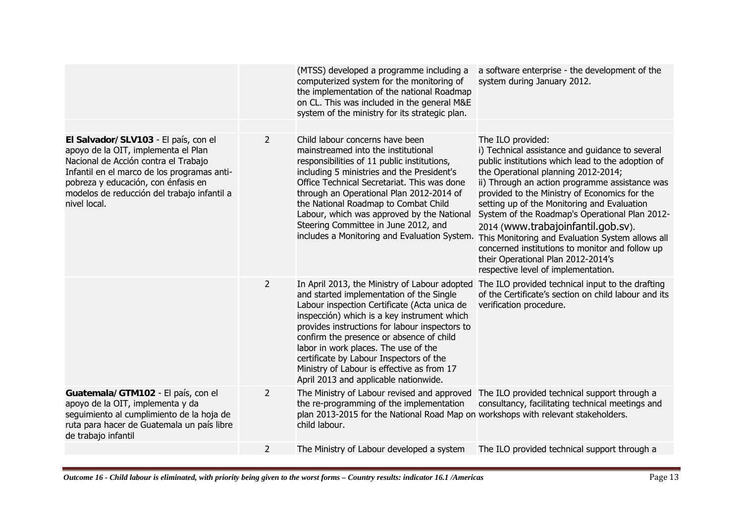|                                                                                                                                                                                                                                                                          |                | (MTSS) developed a programme including a<br>computerized system for the monitoring of<br>the implementation of the national Roadmap<br>on CL. This was included in the general M&E<br>system of the ministry for its strategic plan.                                                                                                                                                                                                                             | a software enterprise - the development of the<br>system during January 2012.                                                                                                                                                                                                                                                                                                                                                                                                                                                                                                                  |
|--------------------------------------------------------------------------------------------------------------------------------------------------------------------------------------------------------------------------------------------------------------------------|----------------|------------------------------------------------------------------------------------------------------------------------------------------------------------------------------------------------------------------------------------------------------------------------------------------------------------------------------------------------------------------------------------------------------------------------------------------------------------------|------------------------------------------------------------------------------------------------------------------------------------------------------------------------------------------------------------------------------------------------------------------------------------------------------------------------------------------------------------------------------------------------------------------------------------------------------------------------------------------------------------------------------------------------------------------------------------------------|
|                                                                                                                                                                                                                                                                          |                |                                                                                                                                                                                                                                                                                                                                                                                                                                                                  |                                                                                                                                                                                                                                                                                                                                                                                                                                                                                                                                                                                                |
| El Salvador/SLV103 - El país, con el<br>apoyo de la OIT, implementa el Plan<br>Nacional de Acción contra el Trabajo<br>Infantil en el marco de los programas anti-<br>pobreza y educación, con énfasis en<br>modelos de reducción del trabajo infantil a<br>nivel local. | $\overline{2}$ | Child labour concerns have been<br>mainstreamed into the institutional<br>responsibilities of 11 public institutions,<br>including 5 ministries and the President's<br>Office Technical Secretariat. This was done<br>through an Operational Plan 2012-2014 of<br>the National Roadmap to Combat Child<br>Labour, which was approved by the National<br>Steering Committee in June 2012, and<br>includes a Monitoring and Evaluation System.                     | The ILO provided:<br>i) Technical assistance and guidance to several<br>public institutions which lead to the adoption of<br>the Operational planning 2012-2014;<br>ii) Through an action programme assistance was<br>provided to the Ministry of Economics for the<br>setting up of the Monitoring and Evaluation<br>System of the Roadmap's Operational Plan 2012-<br>2014 (www.trabajoinfantil.gob.sv).<br>This Monitoring and Evaluation System allows all<br>concerned institutions to monitor and follow up<br>their Operational Plan 2012-2014's<br>respective level of implementation. |
|                                                                                                                                                                                                                                                                          | $\overline{2}$ | In April 2013, the Ministry of Labour adopted<br>and started implementation of the Single<br>Labour inspection Certificate (Acta unica de<br>inspección) which is a key instrument which<br>provides instructions for labour inspectors to<br>confirm the presence or absence of child<br>labor in work places. The use of the<br>certificate by Labour Inspectors of the<br>Ministry of Labour is effective as from 17<br>April 2013 and applicable nationwide. | The ILO provided technical input to the drafting<br>of the Certificate's section on child labour and its<br>verification procedure.                                                                                                                                                                                                                                                                                                                                                                                                                                                            |
| Guatemala/GTM102 - El país, con el<br>apoyo de la OIT, implementa y da<br>seguimiento al cumplimiento de la hoja de<br>ruta para hacer de Guatemala un país libre<br>de trabajo infantil                                                                                 | $\overline{2}$ | The Ministry of Labour revised and approved<br>the re-programming of the implementation<br>plan 2013-2015 for the National Road Map on workshops with relevant stakeholders.<br>child labour.                                                                                                                                                                                                                                                                    | The ILO provided technical support through a<br>consultancy, facilitating technical meetings and                                                                                                                                                                                                                                                                                                                                                                                                                                                                                               |
|                                                                                                                                                                                                                                                                          | $\overline{2}$ | The Ministry of Labour developed a system                                                                                                                                                                                                                                                                                                                                                                                                                        | The ILO provided technical support through a                                                                                                                                                                                                                                                                                                                                                                                                                                                                                                                                                   |
|                                                                                                                                                                                                                                                                          |                |                                                                                                                                                                                                                                                                                                                                                                                                                                                                  |                                                                                                                                                                                                                                                                                                                                                                                                                                                                                                                                                                                                |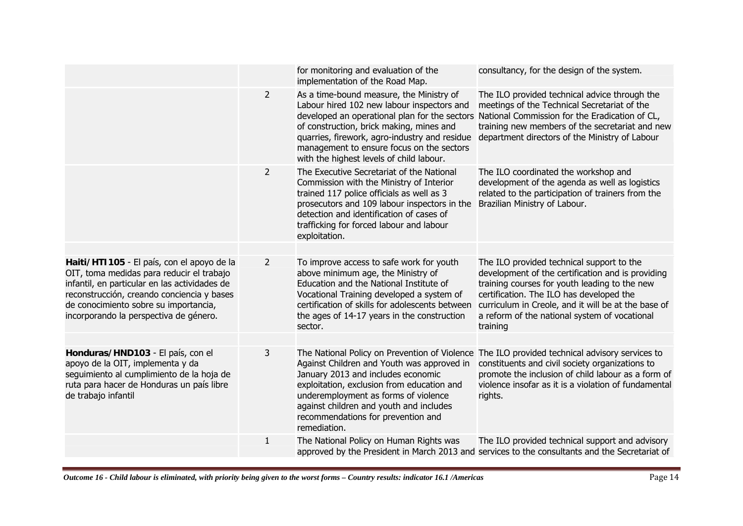| for monitoring and evaluation of the<br>consultancy, for the design of the system.<br>implementation of the Road Map.<br>$\overline{2}$<br>As a time-bound measure, the Ministry of<br>The ILO provided technical advice through the<br>Labour hired 102 new labour inspectors and<br>meetings of the Technical Secretariat of the<br>developed an operational plan for the sectors<br>National Commission for the Eradication of CL,<br>of construction, brick making, mines and<br>training new members of the secretariat and new<br>department directors of the Ministry of Labour<br>quarries, firework, agro-industry and residue<br>management to ensure focus on the sectors<br>with the highest levels of child labour.<br>$\overline{2}$<br>The Executive Secretariat of the National<br>The ILO coordinated the workshop and<br>development of the agenda as well as logistics<br>Commission with the Ministry of Interior<br>trained 117 police officials as well as 3<br>related to the participation of trainers from the<br>prosecutors and 109 labour inspectors in the<br>Brazilian Ministry of Labour.<br>detection and identification of cases of<br>trafficking for forced labour and labour<br>exploitation.<br>Haiti/HTI105 - El país, con el apoyo de la<br>To improve access to safe work for youth<br>The ILO provided technical support to the<br>$\mathbf{2}$<br>above minimum age, the Ministry of<br>development of the certification and is providing<br>Education and the National Institute of<br>training courses for youth leading to the new<br>Vocational Training developed a system of<br>certification. The ILO has developed the<br>certification of skills for adolescents between<br>curriculum in Creole, and it will be at the base of<br>the ages of 14-17 years in the construction<br>a reform of the national system of vocational<br>sector.<br>training<br>3<br>The National Policy on Prevention of Violence The ILO provided technical advisory services to<br>constituents and civil society organizations to<br>Against Children and Youth was approved in<br>promote the inclusion of child labour as a form of<br>January 2013 and includes economic<br>exploitation, exclusion from education and<br>violence insofar as it is a violation of fundamental<br>underemployment as forms of violence<br>rights.<br>against children and youth and includes<br>recommendations for prevention and<br>remediation.<br>The National Policy on Human Rights was<br>The ILO provided technical support and advisory<br>$\mathbf{1}$<br>approved by the President in March 2013 and services to the consultants and the Secretariat of |                                                                                                                                                                                                                             |  |  |
|----------------------------------------------------------------------------------------------------------------------------------------------------------------------------------------------------------------------------------------------------------------------------------------------------------------------------------------------------------------------------------------------------------------------------------------------------------------------------------------------------------------------------------------------------------------------------------------------------------------------------------------------------------------------------------------------------------------------------------------------------------------------------------------------------------------------------------------------------------------------------------------------------------------------------------------------------------------------------------------------------------------------------------------------------------------------------------------------------------------------------------------------------------------------------------------------------------------------------------------------------------------------------------------------------------------------------------------------------------------------------------------------------------------------------------------------------------------------------------------------------------------------------------------------------------------------------------------------------------------------------------------------------------------------------------------------------------------------------------------------------------------------------------------------------------------------------------------------------------------------------------------------------------------------------------------------------------------------------------------------------------------------------------------------------------------------------------------------------------------------------------------------------------------------------------------------------------------------------------------------------------------------------------------------------------------------------------------------------------------------------------------------------------------------------------------------------------------------------------------------------------------------------------------------------------------------------------------------------------------------------------------------------------------------------------------|-----------------------------------------------------------------------------------------------------------------------------------------------------------------------------------------------------------------------------|--|--|
|                                                                                                                                                                                                                                                                                                                                                                                                                                                                                                                                                                                                                                                                                                                                                                                                                                                                                                                                                                                                                                                                                                                                                                                                                                                                                                                                                                                                                                                                                                                                                                                                                                                                                                                                                                                                                                                                                                                                                                                                                                                                                                                                                                                                                                                                                                                                                                                                                                                                                                                                                                                                                                                                                        |                                                                                                                                                                                                                             |  |  |
|                                                                                                                                                                                                                                                                                                                                                                                                                                                                                                                                                                                                                                                                                                                                                                                                                                                                                                                                                                                                                                                                                                                                                                                                                                                                                                                                                                                                                                                                                                                                                                                                                                                                                                                                                                                                                                                                                                                                                                                                                                                                                                                                                                                                                                                                                                                                                                                                                                                                                                                                                                                                                                                                                        |                                                                                                                                                                                                                             |  |  |
|                                                                                                                                                                                                                                                                                                                                                                                                                                                                                                                                                                                                                                                                                                                                                                                                                                                                                                                                                                                                                                                                                                                                                                                                                                                                                                                                                                                                                                                                                                                                                                                                                                                                                                                                                                                                                                                                                                                                                                                                                                                                                                                                                                                                                                                                                                                                                                                                                                                                                                                                                                                                                                                                                        |                                                                                                                                                                                                                             |  |  |
|                                                                                                                                                                                                                                                                                                                                                                                                                                                                                                                                                                                                                                                                                                                                                                                                                                                                                                                                                                                                                                                                                                                                                                                                                                                                                                                                                                                                                                                                                                                                                                                                                                                                                                                                                                                                                                                                                                                                                                                                                                                                                                                                                                                                                                                                                                                                                                                                                                                                                                                                                                                                                                                                                        |                                                                                                                                                                                                                             |  |  |
|                                                                                                                                                                                                                                                                                                                                                                                                                                                                                                                                                                                                                                                                                                                                                                                                                                                                                                                                                                                                                                                                                                                                                                                                                                                                                                                                                                                                                                                                                                                                                                                                                                                                                                                                                                                                                                                                                                                                                                                                                                                                                                                                                                                                                                                                                                                                                                                                                                                                                                                                                                                                                                                                                        | OIT, toma medidas para reducir el trabajo<br>infantil, en particular en las actividades de<br>reconstrucción, creando conciencia y bases<br>de conocimiento sobre su importancia,<br>incorporando la perspectiva de género. |  |  |
|                                                                                                                                                                                                                                                                                                                                                                                                                                                                                                                                                                                                                                                                                                                                                                                                                                                                                                                                                                                                                                                                                                                                                                                                                                                                                                                                                                                                                                                                                                                                                                                                                                                                                                                                                                                                                                                                                                                                                                                                                                                                                                                                                                                                                                                                                                                                                                                                                                                                                                                                                                                                                                                                                        |                                                                                                                                                                                                                             |  |  |
|                                                                                                                                                                                                                                                                                                                                                                                                                                                                                                                                                                                                                                                                                                                                                                                                                                                                                                                                                                                                                                                                                                                                                                                                                                                                                                                                                                                                                                                                                                                                                                                                                                                                                                                                                                                                                                                                                                                                                                                                                                                                                                                                                                                                                                                                                                                                                                                                                                                                                                                                                                                                                                                                                        | Honduras/HND103 - El país, con el<br>apoyo de la OIT, implementa y da<br>seguimiento al cumplimiento de la hoja de<br>ruta para hacer de Honduras un país libre<br>de trabajo infantil                                      |  |  |
|                                                                                                                                                                                                                                                                                                                                                                                                                                                                                                                                                                                                                                                                                                                                                                                                                                                                                                                                                                                                                                                                                                                                                                                                                                                                                                                                                                                                                                                                                                                                                                                                                                                                                                                                                                                                                                                                                                                                                                                                                                                                                                                                                                                                                                                                                                                                                                                                                                                                                                                                                                                                                                                                                        |                                                                                                                                                                                                                             |  |  |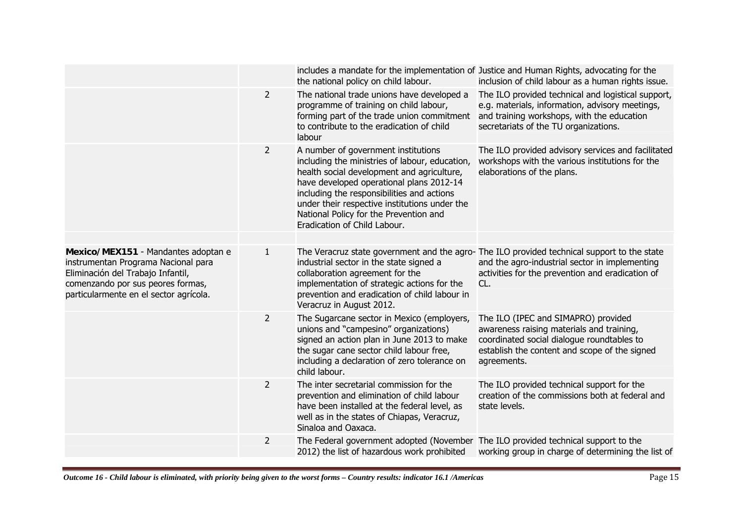|                                                                                                                                                                                                |                | includes a mandate for the implementation of Justice and Human Rights, advocating for the<br>the national policy on child labour.                                                                                                                                                                                                                        | inclusion of child labour as a human rights issue.                                                                                                                                                      |
|------------------------------------------------------------------------------------------------------------------------------------------------------------------------------------------------|----------------|----------------------------------------------------------------------------------------------------------------------------------------------------------------------------------------------------------------------------------------------------------------------------------------------------------------------------------------------------------|---------------------------------------------------------------------------------------------------------------------------------------------------------------------------------------------------------|
|                                                                                                                                                                                                | $\overline{2}$ | The national trade unions have developed a<br>programme of training on child labour,<br>forming part of the trade union commitment<br>to contribute to the eradication of child<br>labour                                                                                                                                                                | The ILO provided technical and logistical support,<br>e.g. materials, information, advisory meetings,<br>and training workshops, with the education<br>secretariats of the TU organizations.            |
|                                                                                                                                                                                                | $\overline{2}$ | A number of government institutions<br>including the ministries of labour, education,<br>health social development and agriculture,<br>have developed operational plans 2012-14<br>including the responsibilities and actions<br>under their respective institutions under the<br>National Policy for the Prevention and<br>Eradication of Child Labour. | The ILO provided advisory services and facilitated<br>workshops with the various institutions for the<br>elaborations of the plans.                                                                     |
| Mexico/MEX151 - Mandantes adoptan e<br>instrumentan Programa Nacional para<br>Eliminación del Trabajo Infantil,<br>comenzando por sus peores formas,<br>particularmente en el sector agrícola. | $\mathbf{1}$   | industrial sector in the state signed a<br>collaboration agreement for the<br>implementation of strategic actions for the<br>prevention and eradication of child labour in<br>Veracruz in August 2012.                                                                                                                                                   | The Veracruz state government and the agro-The ILO provided technical support to the state<br>and the agro-industrial sector in implementing<br>activities for the prevention and eradication of<br>CL. |
|                                                                                                                                                                                                | $\overline{2}$ | The Sugarcane sector in Mexico (employers,<br>unions and "campesino" organizations)<br>signed an action plan in June 2013 to make<br>the sugar cane sector child labour free,<br>including a declaration of zero tolerance on<br>child labour.                                                                                                           | The ILO (IPEC and SIMAPRO) provided<br>awareness raising materials and training,<br>coordinated social dialogue roundtables to<br>establish the content and scope of the signed<br>agreements.          |
|                                                                                                                                                                                                | $\overline{2}$ | The inter secretarial commission for the<br>prevention and elimination of child labour<br>have been installed at the federal level, as<br>well as in the states of Chiapas, Veracruz,<br>Sinaloa and Oaxaca.                                                                                                                                             | The ILO provided technical support for the<br>creation of the commissions both at federal and<br>state levels.                                                                                          |
|                                                                                                                                                                                                | $\overline{2}$ | The Federal government adopted (November The ILO provided technical support to the<br>2012) the list of hazardous work prohibited                                                                                                                                                                                                                        | working group in charge of determining the list of                                                                                                                                                      |
|                                                                                                                                                                                                |                |                                                                                                                                                                                                                                                                                                                                                          |                                                                                                                                                                                                         |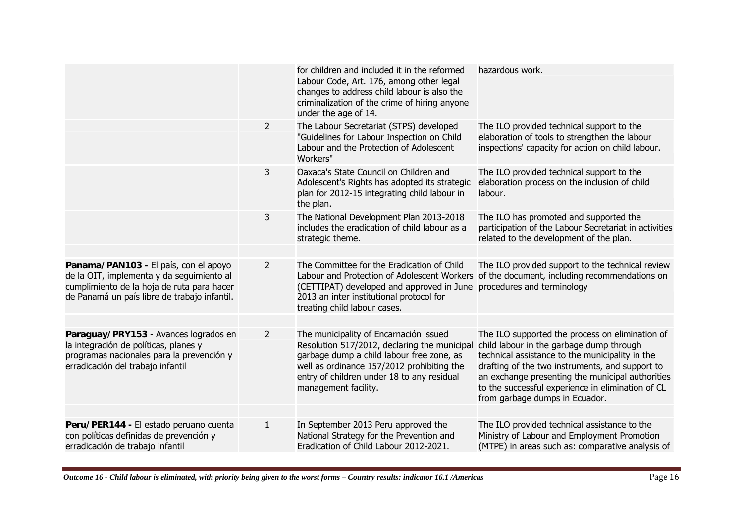|                                                                                                                                                                                  |                | for children and included it in the reformed<br>Labour Code, Art. 176, among other legal<br>changes to address child labour is also the<br>criminalization of the crime of hiring anyone<br>under the age of 14.                                        | hazardous work.                                                                                                                                                                                                                                                                                                                              |
|----------------------------------------------------------------------------------------------------------------------------------------------------------------------------------|----------------|---------------------------------------------------------------------------------------------------------------------------------------------------------------------------------------------------------------------------------------------------------|----------------------------------------------------------------------------------------------------------------------------------------------------------------------------------------------------------------------------------------------------------------------------------------------------------------------------------------------|
|                                                                                                                                                                                  | $\overline{2}$ | The Labour Secretariat (STPS) developed<br>"Guidelines for Labour Inspection on Child<br>Labour and the Protection of Adolescent<br>Workers"                                                                                                            | The ILO provided technical support to the<br>elaboration of tools to strengthen the labour<br>inspections' capacity for action on child labour.                                                                                                                                                                                              |
|                                                                                                                                                                                  | 3              | Oaxaca's State Council on Children and<br>Adolescent's Rights has adopted its strategic<br>plan for 2012-15 integrating child labour in<br>the plan.                                                                                                    | The ILO provided technical support to the<br>elaboration process on the inclusion of child<br>labour.                                                                                                                                                                                                                                        |
|                                                                                                                                                                                  | 3              | The National Development Plan 2013-2018<br>includes the eradication of child labour as a<br>strategic theme.                                                                                                                                            | The ILO has promoted and supported the<br>participation of the Labour Secretariat in activities<br>related to the development of the plan.                                                                                                                                                                                                   |
|                                                                                                                                                                                  |                |                                                                                                                                                                                                                                                         |                                                                                                                                                                                                                                                                                                                                              |
| Panama/PAN103 - El país, con el apoyo<br>de la OIT, implementa y da seguimiento al<br>cumplimiento de la hoja de ruta para hacer<br>de Panamá un país libre de trabajo infantil. | $\overline{2}$ | The Committee for the Eradication of Child<br>Labour and Protection of Adolescent Workers<br>(CETTIPAT) developed and approved in June procedures and terminology<br>2013 an inter institutional protocol for<br>treating child labour cases.           | The ILO provided support to the technical review<br>of the document, including recommendations on                                                                                                                                                                                                                                            |
|                                                                                                                                                                                  |                |                                                                                                                                                                                                                                                         |                                                                                                                                                                                                                                                                                                                                              |
| Paraguay/PRY153 - Avances logrados en<br>la integración de políticas, planes y<br>programas nacionales para la prevención y<br>erradicación del trabajo infantil                 | $\overline{2}$ | The municipality of Encarnación issued<br>Resolution 517/2012, declaring the municipal<br>garbage dump a child labour free zone, as<br>well as ordinance 157/2012 prohibiting the<br>entry of children under 18 to any residual<br>management facility. | The ILO supported the process on elimination of<br>child labour in the garbage dump through<br>technical assistance to the municipality in the<br>drafting of the two instruments, and support to<br>an exchange presenting the municipal authorities<br>to the successful experience in elimination of CL<br>from garbage dumps in Ecuador. |
|                                                                                                                                                                                  |                |                                                                                                                                                                                                                                                         |                                                                                                                                                                                                                                                                                                                                              |
| Peru/PER144 - El estado peruano cuenta<br>con políticas definidas de prevención y<br>erradicación de trabajo infantil                                                            | $\mathbf{1}$   | In September 2013 Peru approved the<br>National Strategy for the Prevention and<br>Eradication of Child Labour 2012-2021.                                                                                                                               | The ILO provided technical assistance to the<br>Ministry of Labour and Employment Promotion<br>(MTPE) in areas such as: comparative analysis of                                                                                                                                                                                              |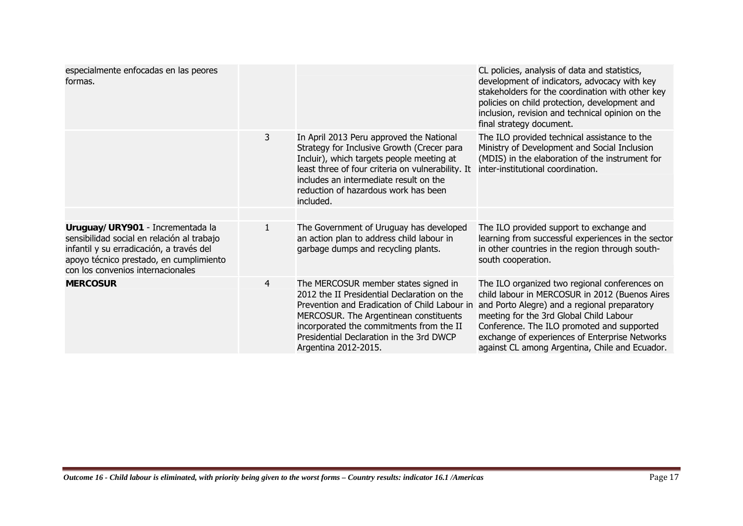| especialmente enfocadas en las peores<br>formas.                                                                                                                                                           |                |                                                                                                                                                                                                                                                                                                | CL policies, analysis of data and statistics,<br>development of indicators, advocacy with key<br>stakeholders for the coordination with other key<br>policies on child protection, development and<br>inclusion, revision and technical opinion on the<br>final strategy document.                                                           |
|------------------------------------------------------------------------------------------------------------------------------------------------------------------------------------------------------------|----------------|------------------------------------------------------------------------------------------------------------------------------------------------------------------------------------------------------------------------------------------------------------------------------------------------|----------------------------------------------------------------------------------------------------------------------------------------------------------------------------------------------------------------------------------------------------------------------------------------------------------------------------------------------|
|                                                                                                                                                                                                            | 3              | In April 2013 Peru approved the National<br>Strategy for Inclusive Growth (Crecer para<br>Incluir), which targets people meeting at<br>least three of four criteria on vulnerability. It<br>includes an intermediate result on the<br>reduction of hazardous work has been<br>included.        | The ILO provided technical assistance to the<br>Ministry of Development and Social Inclusion<br>(MDIS) in the elaboration of the instrument for<br>inter-institutional coordination.                                                                                                                                                         |
|                                                                                                                                                                                                            |                |                                                                                                                                                                                                                                                                                                |                                                                                                                                                                                                                                                                                                                                              |
| Uruguay/URY901 - Incrementada la<br>sensibilidad social en relación al trabajo<br>infantil y su erradicación, a través del<br>apoyo técnico prestado, en cumplimiento<br>con los convenios internacionales | $\mathbf{1}$   | The Government of Uruguay has developed<br>an action plan to address child labour in<br>garbage dumps and recycling plants.                                                                                                                                                                    | The ILO provided support to exchange and<br>learning from successful experiences in the sector<br>in other countries in the region through south-<br>south cooperation.                                                                                                                                                                      |
| <b>MERCOSUR</b>                                                                                                                                                                                            | $\overline{4}$ | The MERCOSUR member states signed in<br>2012 the II Presidential Declaration on the<br>Prevention and Eradication of Child Labour in<br>MERCOSUR. The Argentinean constituents<br>incorporated the commitments from the II<br>Presidential Declaration in the 3rd DWCP<br>Argentina 2012-2015. | The ILO organized two regional conferences on<br>child labour in MERCOSUR in 2012 (Buenos Aires<br>and Porto Alegre) and a regional preparatory<br>meeting for the 3rd Global Child Labour<br>Conference. The ILO promoted and supported<br>exchange of experiences of Enterprise Networks<br>against CL among Argentina, Chile and Ecuador. |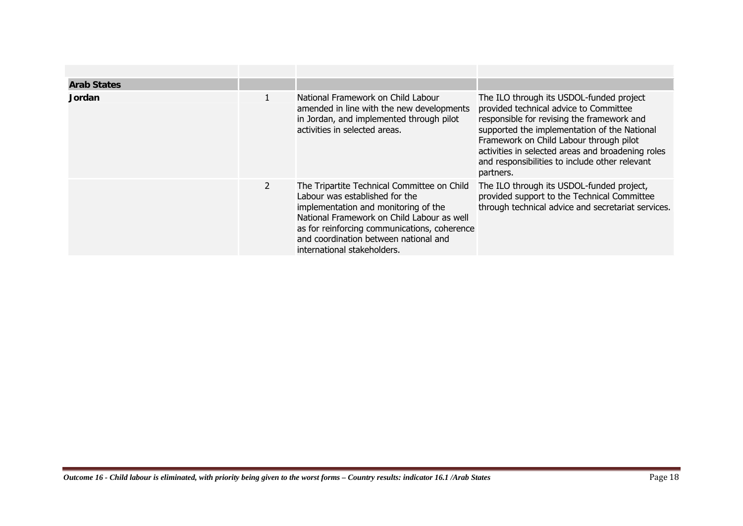| <b>Arab States</b> |                |                                                                                                                                                                                                                                                                                             |                                                                                                                                                                                                                                                                                                                                                 |
|--------------------|----------------|---------------------------------------------------------------------------------------------------------------------------------------------------------------------------------------------------------------------------------------------------------------------------------------------|-------------------------------------------------------------------------------------------------------------------------------------------------------------------------------------------------------------------------------------------------------------------------------------------------------------------------------------------------|
| <b>Jordan</b>      |                | National Framework on Child Labour<br>amended in line with the new developments<br>in Jordan, and implemented through pilot<br>activities in selected areas.                                                                                                                                | The ILO through its USDOL-funded project<br>provided technical advice to Committee<br>responsible for revising the framework and<br>supported the implementation of the National<br>Framework on Child Labour through pilot<br>activities in selected areas and broadening roles<br>and responsibilities to include other relevant<br>partners. |
|                    | $\overline{2}$ | The Tripartite Technical Committee on Child<br>Labour was established for the<br>implementation and monitoring of the<br>National Framework on Child Labour as well<br>as for reinforcing communications, coherence<br>and coordination between national and<br>international stakeholders. | The ILO through its USDOL-funded project,<br>provided support to the Technical Committee<br>through technical advice and secretariat services.                                                                                                                                                                                                  |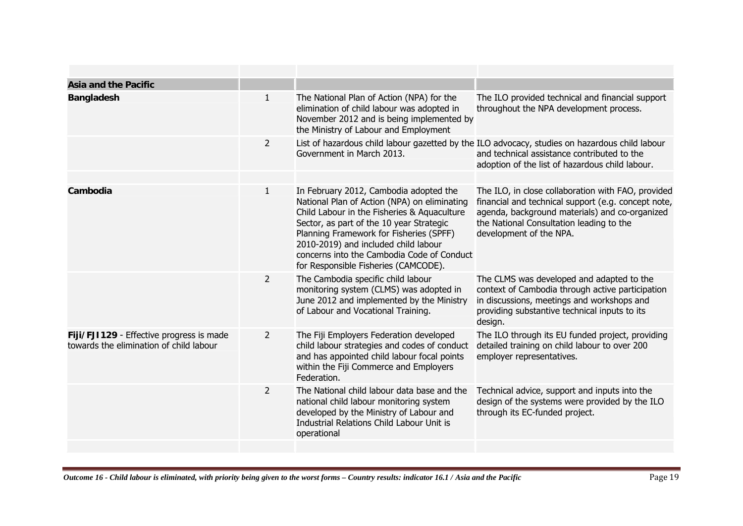| <b>Asia and the Pacific</b>                                                         |                |                                                                                                                                                                                                                                                                                                                                                            |                                                                                                                                                                                                                                    |
|-------------------------------------------------------------------------------------|----------------|------------------------------------------------------------------------------------------------------------------------------------------------------------------------------------------------------------------------------------------------------------------------------------------------------------------------------------------------------------|------------------------------------------------------------------------------------------------------------------------------------------------------------------------------------------------------------------------------------|
| <b>Bangladesh</b>                                                                   | $\mathbf{1}$   | The National Plan of Action (NPA) for the<br>elimination of child labour was adopted in<br>November 2012 and is being implemented by<br>the Ministry of Labour and Employment                                                                                                                                                                              | The ILO provided technical and financial support<br>throughout the NPA development process.                                                                                                                                        |
|                                                                                     | $\overline{2}$ | Government in March 2013.                                                                                                                                                                                                                                                                                                                                  | List of hazardous child labour gazetted by the ILO advocacy, studies on hazardous child labour<br>and technical assistance contributed to the<br>adoption of the list of hazardous child labour.                                   |
| Cambodia                                                                            | 1              | In February 2012, Cambodia adopted the<br>National Plan of Action (NPA) on eliminating<br>Child Labour in the Fisheries & Aquaculture<br>Sector, as part of the 10 year Strategic<br>Planning Framework for Fisheries (SPFF)<br>2010-2019) and included child labour<br>concerns into the Cambodia Code of Conduct<br>for Responsible Fisheries (CAMCODE). | The ILO, in close collaboration with FAO, provided<br>financial and technical support (e.g. concept note,<br>agenda, background materials) and co-organized<br>the National Consultation leading to the<br>development of the NPA. |
|                                                                                     | 2              | The Cambodia specific child labour<br>monitoring system (CLMS) was adopted in<br>June 2012 and implemented by the Ministry<br>of Labour and Vocational Training.                                                                                                                                                                                           | The CLMS was developed and adapted to the<br>context of Cambodia through active participation<br>in discussions, meetings and workshops and<br>providing substantive technical inputs to its<br>design.                            |
| Fiji/FJI129 - Effective progress is made<br>towards the elimination of child labour | $\overline{2}$ | The Fiji Employers Federation developed<br>child labour strategies and codes of conduct<br>and has appointed child labour focal points<br>within the Fiji Commerce and Employers<br>Federation.                                                                                                                                                            | The ILO through its EU funded project, providing<br>detailed training on child labour to over 200<br>employer representatives.                                                                                                     |
|                                                                                     | $\overline{2}$ | The National child labour data base and the<br>national child labour monitoring system<br>developed by the Ministry of Labour and<br>Industrial Relations Child Labour Unit is<br>operational                                                                                                                                                              | Technical advice, support and inputs into the<br>design of the systems were provided by the ILO<br>through its EC-funded project.                                                                                                  |
|                                                                                     |                |                                                                                                                                                                                                                                                                                                                                                            |                                                                                                                                                                                                                                    |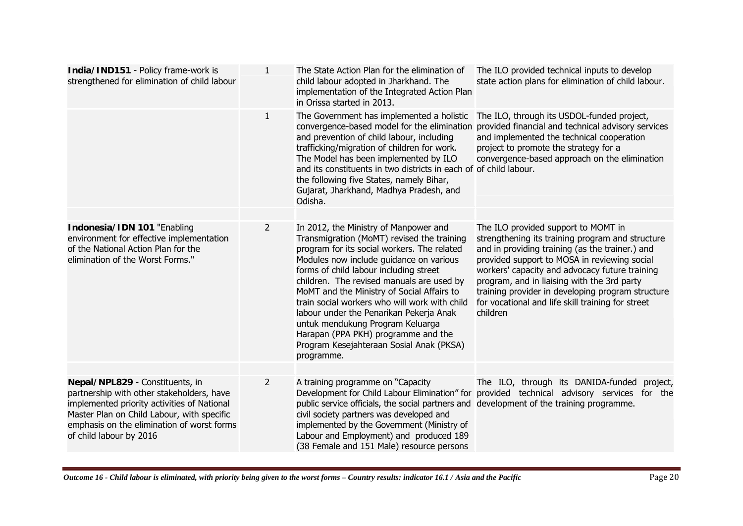| India/IND151 - Policy frame-work is<br>strengthened for elimination of child labour                                                                                                                                                                | $\mathbf{1}$   | The State Action Plan for the elimination of<br>child labour adopted in Jharkhand. The<br>implementation of the Integrated Action Plan<br>in Orissa started in 2013.                                                                                                                                                                                                                                                                                                                                                                                | The ILO provided technical inputs to develop<br>state action plans for elimination of child labour.                                                                                                                                                                                                                                                                                                               |
|----------------------------------------------------------------------------------------------------------------------------------------------------------------------------------------------------------------------------------------------------|----------------|-----------------------------------------------------------------------------------------------------------------------------------------------------------------------------------------------------------------------------------------------------------------------------------------------------------------------------------------------------------------------------------------------------------------------------------------------------------------------------------------------------------------------------------------------------|-------------------------------------------------------------------------------------------------------------------------------------------------------------------------------------------------------------------------------------------------------------------------------------------------------------------------------------------------------------------------------------------------------------------|
|                                                                                                                                                                                                                                                    | $\mathbf{1}$   | The Government has implemented a holistic<br>convergence-based model for the elimination<br>and prevention of child labour, including<br>trafficking/migration of children for work.<br>The Model has been implemented by ILO<br>and its constituents in two districts in each of of child labour.<br>the following five States, namely Bihar,<br>Gujarat, Jharkhand, Madhya Pradesh, and<br>Odisha.                                                                                                                                                | The ILO, through its USDOL-funded project,<br>provided financial and technical advisory services<br>and implemented the technical cooperation<br>project to promote the strategy for a<br>convergence-based approach on the elimination                                                                                                                                                                           |
|                                                                                                                                                                                                                                                    |                |                                                                                                                                                                                                                                                                                                                                                                                                                                                                                                                                                     |                                                                                                                                                                                                                                                                                                                                                                                                                   |
| Indonesia/IDN 101 "Enabling<br>environment for effective implementation<br>of the National Action Plan for the<br>elimination of the Worst Forms."                                                                                                 | 2              | In 2012, the Ministry of Manpower and<br>Transmigration (MoMT) revised the training<br>program for its social workers. The related<br>Modules now include guidance on various<br>forms of child labour including street<br>children. The revised manuals are used by<br>MoMT and the Ministry of Social Affairs to<br>train social workers who will work with child<br>labour under the Penarikan Pekerja Anak<br>untuk mendukung Program Keluarga<br>Harapan (PPA PKH) programme and the<br>Program Kesejahteraan Sosial Anak (PKSA)<br>programme. | The ILO provided support to MOMT in<br>strengthening its training program and structure<br>and in providing training (as the trainer.) and<br>provided support to MOSA in reviewing social<br>workers' capacity and advocacy future training<br>program, and in liaising with the 3rd party<br>training provider in developing program structure<br>for vocational and life skill training for street<br>children |
|                                                                                                                                                                                                                                                    |                |                                                                                                                                                                                                                                                                                                                                                                                                                                                                                                                                                     |                                                                                                                                                                                                                                                                                                                                                                                                                   |
| Nepal/NPL829 - Constituents, in<br>partnership with other stakeholders, have<br>implemented priority activities of National<br>Master Plan on Child Labour, with specific<br>emphasis on the elimination of worst forms<br>of child labour by 2016 | $\overline{2}$ | A training programme on "Capacity<br>public service officials, the social partners and development of the training programme.<br>civil society partners was developed and<br>implemented by the Government (Ministry of<br>Labour and Employment) and produced 189<br>(38 Female and 151 Male) resource persons                                                                                                                                                                                                                                     | The ILO, through its DANIDA-funded project,<br>Development for Child Labour Elimination" for provided technical advisory services for the                                                                                                                                                                                                                                                                         |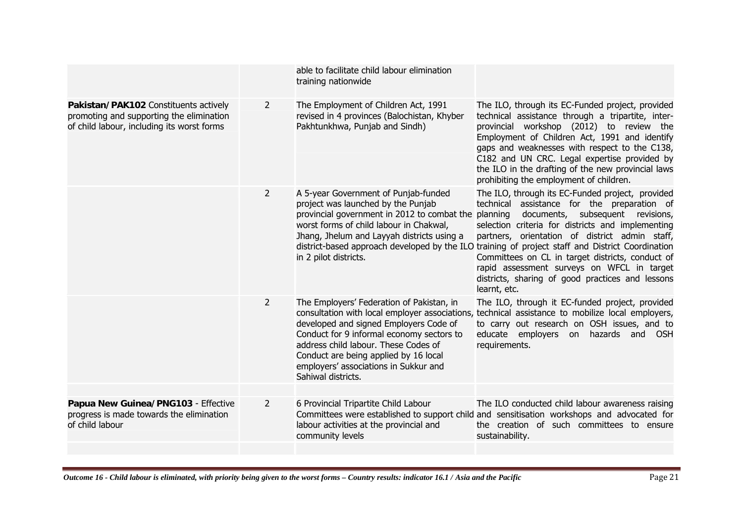|                                                                                                                                 |                | able to facilitate child labour elimination<br>training nationwide                                                                                                                                                                                                               |                                                                                                                                                                                                                                                                                                                                                                                                                                                                                                                                  |
|---------------------------------------------------------------------------------------------------------------------------------|----------------|----------------------------------------------------------------------------------------------------------------------------------------------------------------------------------------------------------------------------------------------------------------------------------|----------------------------------------------------------------------------------------------------------------------------------------------------------------------------------------------------------------------------------------------------------------------------------------------------------------------------------------------------------------------------------------------------------------------------------------------------------------------------------------------------------------------------------|
| Pakistan/PAK102 Constituents actively<br>promoting and supporting the elimination<br>of child labour, including its worst forms | 2              | The Employment of Children Act, 1991<br>revised in 4 provinces (Balochistan, Khyber<br>Pakhtunkhwa, Punjab and Sindh)                                                                                                                                                            | The ILO, through its EC-Funded project, provided<br>technical assistance through a tripartite, inter-<br>provincial workshop (2012) to review the<br>Employment of Children Act, 1991 and identify<br>gaps and weaknesses with respect to the C138,<br>C182 and UN CRC. Legal expertise provided by<br>the ILO in the drafting of the new provincial laws<br>prohibiting the employment of children.                                                                                                                             |
|                                                                                                                                 | $\overline{2}$ | A 5-year Government of Punjab-funded<br>project was launched by the Punjab<br>provincial government in 2012 to combat the<br>worst forms of child labour in Chakwal,<br>Jhang, Jhelum and Layyah districts using a<br>in 2 pilot districts.                                      | The ILO, through its EC-Funded project, provided<br>technical assistance for the preparation of<br>documents, subsequent revisions,<br>planning<br>selection criteria for districts and implementing<br>partners, orientation of district admin staff,<br>district-based approach developed by the ILO training of project staff and District Coordination<br>Committees on CL in target districts, conduct of<br>rapid assessment surveys on WFCL in target<br>districts, sharing of good practices and lessons<br>learnt, etc. |
|                                                                                                                                 | $\overline{2}$ | The Employers' Federation of Pakistan, in<br>developed and signed Employers Code of<br>Conduct for 9 informal economy sectors to<br>address child labour. These Codes of<br>Conduct are being applied by 16 local<br>employers' associations in Sukkur and<br>Sahiwal districts. | The ILO, through it EC-funded project, provided<br>consultation with local employer associations, technical assistance to mobilize local employers,<br>to carry out research on OSH issues, and to<br>educate employers<br>hazards and<br><b>OSH</b><br>on<br>requirements.                                                                                                                                                                                                                                                      |
| Papua New Guinea/PNG103 - Effective<br>progress is made towards the elimination<br>of child labour                              | 2              | 6 Provincial Tripartite Child Labour<br>labour activities at the provincial and<br>community levels                                                                                                                                                                              | The ILO conducted child labour awareness raising<br>Committees were established to support child and sensitisation workshops and advocated for<br>the creation of such committees to ensure<br>sustainability.                                                                                                                                                                                                                                                                                                                   |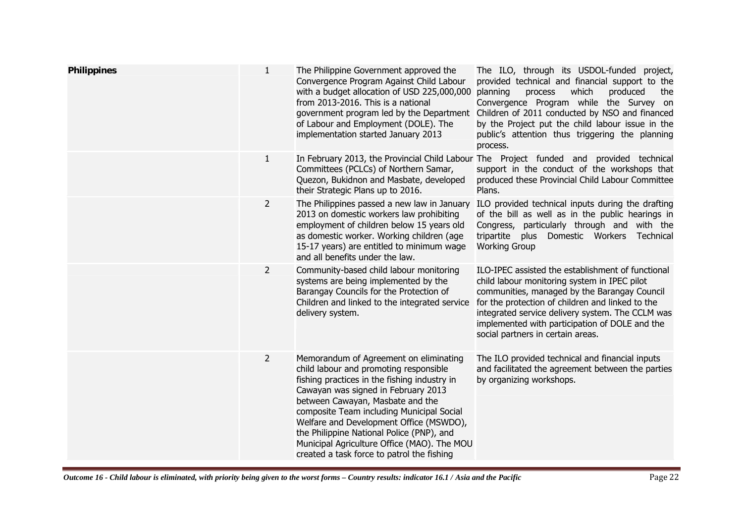| <b>Philippines</b> | $\mathbf{1}$   | The Philippine Government approved the<br>Convergence Program Against Child Labour<br>with a budget allocation of USD 225,000,000<br>from 2013-2016. This is a national<br>government program led by the Department<br>of Labour and Employment (DOLE). The<br>implementation started January 2013                                                                                                                                            | The ILO, through its USDOL-funded project,<br>provided technical and financial support to the<br>which<br>produced<br>planning<br>process<br>the<br>Convergence Program while the Survey on<br>Children of 2011 conducted by NSO and financed<br>by the Project put the child labour issue in the<br>public's attention thus triggering the planning<br>process. |
|--------------------|----------------|-----------------------------------------------------------------------------------------------------------------------------------------------------------------------------------------------------------------------------------------------------------------------------------------------------------------------------------------------------------------------------------------------------------------------------------------------|------------------------------------------------------------------------------------------------------------------------------------------------------------------------------------------------------------------------------------------------------------------------------------------------------------------------------------------------------------------|
|                    | 1              | Committees (PCLCs) of Northern Samar,<br>Quezon, Bukidnon and Masbate, developed<br>their Strategic Plans up to 2016.                                                                                                                                                                                                                                                                                                                         | In February 2013, the Provincial Child Labour The Project funded and provided technical<br>support in the conduct of the workshops that<br>produced these Provincial Child Labour Committee<br>Plans.                                                                                                                                                            |
|                    | $\overline{2}$ | The Philippines passed a new law in January<br>2013 on domestic workers law prohibiting<br>employment of children below 15 years old<br>as domestic worker. Working children (age<br>15-17 years) are entitled to minimum wage<br>and all benefits under the law.                                                                                                                                                                             | ILO provided technical inputs during the drafting<br>of the bill as well as in the public hearings in<br>Congress, particularly through and with the<br>tripartite<br>plus Domestic Workers<br>Technical<br><b>Working Group</b>                                                                                                                                 |
|                    | $\overline{2}$ | Community-based child labour monitoring<br>systems are being implemented by the<br>Barangay Councils for the Protection of<br>Children and linked to the integrated service<br>delivery system.                                                                                                                                                                                                                                               | ILO-IPEC assisted the establishment of functional<br>child labour monitoring system in IPEC pilot<br>communities, managed by the Barangay Council<br>for the protection of children and linked to the<br>integrated service delivery system. The CCLM was<br>implemented with participation of DOLE and the<br>social partners in certain areas.                 |
|                    | $\overline{2}$ | Memorandum of Agreement on eliminating<br>child labour and promoting responsible<br>fishing practices in the fishing industry in<br>Cawayan was signed in February 2013<br>between Cawayan, Masbate and the<br>composite Team including Municipal Social<br>Welfare and Development Office (MSWDO),<br>the Philippine National Police (PNP), and<br>Municipal Agriculture Office (MAO). The MOU<br>created a task force to patrol the fishing | The ILO provided technical and financial inputs<br>and facilitated the agreement between the parties<br>by organizing workshops.                                                                                                                                                                                                                                 |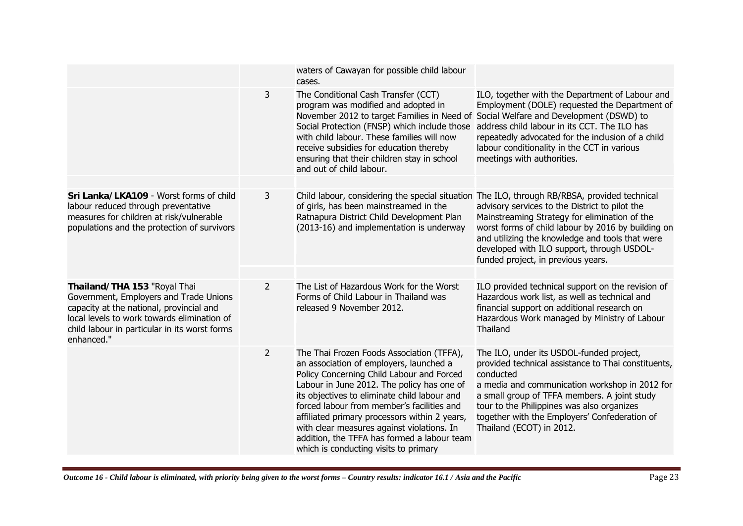|                                                                                                                                                                                                                                  |                | waters of Cawayan for possible child labour<br>cases.                                                                                                                                                                                                                                                                                                                                                                                                                |                                                                                                                                                                                                                                                                                                                                                                                              |
|----------------------------------------------------------------------------------------------------------------------------------------------------------------------------------------------------------------------------------|----------------|----------------------------------------------------------------------------------------------------------------------------------------------------------------------------------------------------------------------------------------------------------------------------------------------------------------------------------------------------------------------------------------------------------------------------------------------------------------------|----------------------------------------------------------------------------------------------------------------------------------------------------------------------------------------------------------------------------------------------------------------------------------------------------------------------------------------------------------------------------------------------|
|                                                                                                                                                                                                                                  | 3              | The Conditional Cash Transfer (CCT)<br>program was modified and adopted in<br>November 2012 to target Families in Need of<br>Social Protection (FNSP) which include those<br>with child labour. These families will now<br>receive subsidies for education thereby<br>ensuring that their children stay in school<br>and out of child labour.                                                                                                                        | ILO, together with the Department of Labour and<br>Employment (DOLE) requested the Department of<br>Social Welfare and Development (DSWD) to<br>address child labour in its CCT. The ILO has<br>repeatedly advocated for the inclusion of a child<br>labour conditionality in the CCT in various<br>meetings with authorities.                                                               |
|                                                                                                                                                                                                                                  |                |                                                                                                                                                                                                                                                                                                                                                                                                                                                                      |                                                                                                                                                                                                                                                                                                                                                                                              |
| Sri Lanka/LKA109 - Worst forms of child<br>labour reduced through preventative<br>measures for children at risk/vulnerable<br>populations and the protection of survivors                                                        | 3              | of girls, has been mainstreamed in the<br>Ratnapura District Child Development Plan<br>(2013-16) and implementation is underway                                                                                                                                                                                                                                                                                                                                      | Child labour, considering the special situation The ILO, through RB/RBSA, provided technical<br>advisory services to the District to pilot the<br>Mainstreaming Strategy for elimination of the<br>worst forms of child labour by 2016 by building on<br>and utilizing the knowledge and tools that were<br>developed with ILO support, through USDOL-<br>funded project, in previous years. |
|                                                                                                                                                                                                                                  |                |                                                                                                                                                                                                                                                                                                                                                                                                                                                                      |                                                                                                                                                                                                                                                                                                                                                                                              |
| Thailand/THA 153 "Royal Thai<br>Government, Employers and Trade Unions<br>capacity at the national, provincial and<br>local levels to work towards elimination of<br>child labour in particular in its worst forms<br>enhanced." | $\overline{2}$ | The List of Hazardous Work for the Worst<br>Forms of Child Labour in Thailand was<br>released 9 November 2012.                                                                                                                                                                                                                                                                                                                                                       | ILO provided technical support on the revision of<br>Hazardous work list, as well as technical and<br>financial support on additional research on<br>Hazardous Work managed by Ministry of Labour<br>Thailand                                                                                                                                                                                |
|                                                                                                                                                                                                                                  | $\overline{2}$ | The Thai Frozen Foods Association (TFFA),<br>an association of employers, launched a<br>Policy Concerning Child Labour and Forced<br>Labour in June 2012. The policy has one of<br>its objectives to eliminate child labour and<br>forced labour from member's facilities and<br>affiliated primary processors within 2 years,<br>with clear measures against violations. In<br>addition, the TFFA has formed a labour team<br>which is conducting visits to primary | The ILO, under its USDOL-funded project,<br>provided technical assistance to Thai constituents,<br>conducted<br>a media and communication workshop in 2012 for<br>a small group of TFFA members. A joint study<br>tour to the Philippines was also organizes<br>together with the Employers' Confederation of<br>Thailand (ECOT) in 2012.                                                    |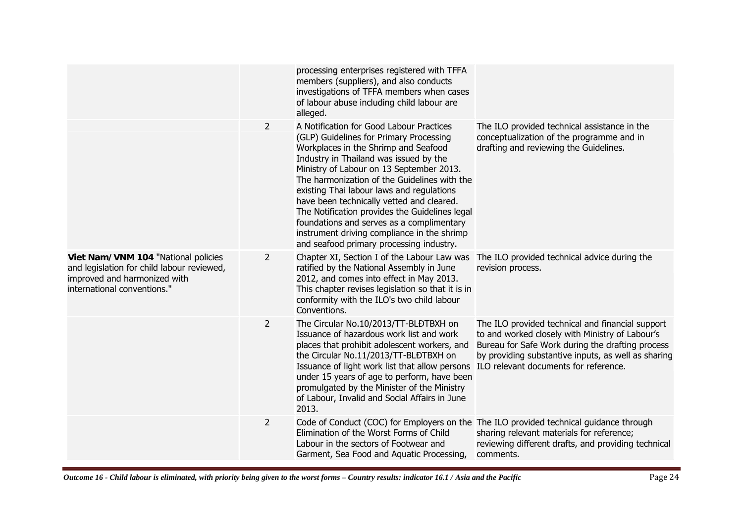|                                                                                                                                                  |                | processing enterprises registered with TFFA<br>members (suppliers), and also conducts<br>investigations of TFFA members when cases<br>of labour abuse including child labour are<br>alleged.                                                                                                                                                                                                                                                                                                                                                          |                                                                                                                                                                                                                                                         |
|--------------------------------------------------------------------------------------------------------------------------------------------------|----------------|-------------------------------------------------------------------------------------------------------------------------------------------------------------------------------------------------------------------------------------------------------------------------------------------------------------------------------------------------------------------------------------------------------------------------------------------------------------------------------------------------------------------------------------------------------|---------------------------------------------------------------------------------------------------------------------------------------------------------------------------------------------------------------------------------------------------------|
|                                                                                                                                                  | $\overline{2}$ | A Notification for Good Labour Practices<br>(GLP) Guidelines for Primary Processing<br>Workplaces in the Shrimp and Seafood<br>Industry in Thailand was issued by the<br>Ministry of Labour on 13 September 2013.<br>The harmonization of the Guidelines with the<br>existing Thai labour laws and regulations<br>have been technically vetted and cleared.<br>The Notification provides the Guidelines legal<br>foundations and serves as a complimentary<br>instrument driving compliance in the shrimp<br>and seafood primary processing industry. | The ILO provided technical assistance in the<br>conceptualization of the programme and in<br>drafting and reviewing the Guidelines.                                                                                                                     |
| Viet Nam/VNM 104 "National policies<br>and legislation for child labour reviewed,<br>improved and harmonized with<br>international conventions." | $\overline{2}$ | Chapter XI, Section I of the Labour Law was<br>ratified by the National Assembly in June<br>2012, and comes into effect in May 2013.<br>This chapter revises legislation so that it is in<br>conformity with the ILO's two child labour<br>Conventions.                                                                                                                                                                                                                                                                                               | The ILO provided technical advice during the<br>revision process.                                                                                                                                                                                       |
|                                                                                                                                                  | $\overline{2}$ | The Circular No.10/2013/TT-BLĐTBXH on<br>Issuance of hazardous work list and work<br>places that prohibit adolescent workers, and<br>the Circular No.11/2013/TT-BLĐTBXH on<br>Issuance of light work list that allow persons<br>under 15 years of age to perform, have been<br>promulgated by the Minister of the Ministry<br>of Labour, Invalid and Social Affairs in June<br>2013.                                                                                                                                                                  | The ILO provided technical and financial support<br>to and worked closely with Ministry of Labour's<br>Bureau for Safe Work during the drafting process<br>by providing substantive inputs, as well as sharing<br>ILO relevant documents for reference. |
|                                                                                                                                                  | $\overline{2}$ | Elimination of the Worst Forms of Child<br>Labour in the sectors of Footwear and<br>Garment, Sea Food and Aquatic Processing,                                                                                                                                                                                                                                                                                                                                                                                                                         | Code of Conduct (COC) for Employers on the The ILO provided technical guidance through<br>sharing relevant materials for reference;<br>reviewing different drafts, and providing technical<br>comments.                                                 |
|                                                                                                                                                  |                |                                                                                                                                                                                                                                                                                                                                                                                                                                                                                                                                                       |                                                                                                                                                                                                                                                         |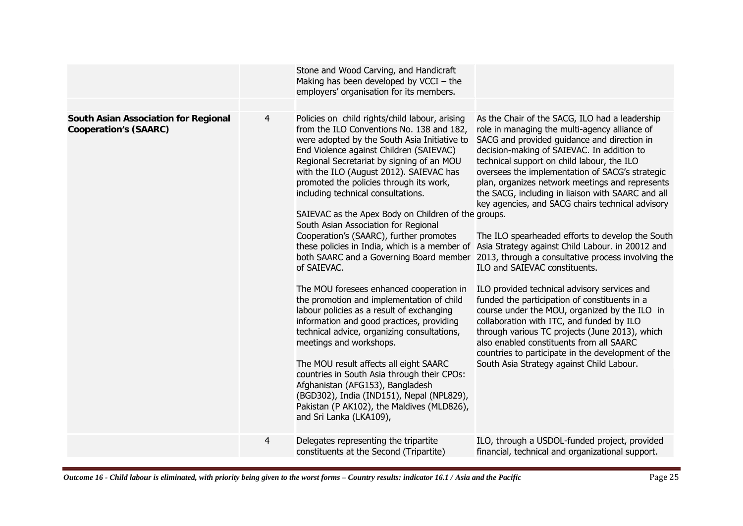|                                                                      |                | Stone and Wood Carving, and Handicraft<br>Making has been developed by $VCCI - the$<br>employers' organisation for its members.                                                                                                                                                                                                                                                                                                                                                                                                                                                                                                                                                                                                                                                                                                                                                                                                                                                                                                                                                                                                      |                                                                                                                                                                                                                                                                                                                                                                                                                                                                                                                                                                                                                                                                                                                                                                                                                                                                                                                                                                                                                                                          |
|----------------------------------------------------------------------|----------------|--------------------------------------------------------------------------------------------------------------------------------------------------------------------------------------------------------------------------------------------------------------------------------------------------------------------------------------------------------------------------------------------------------------------------------------------------------------------------------------------------------------------------------------------------------------------------------------------------------------------------------------------------------------------------------------------------------------------------------------------------------------------------------------------------------------------------------------------------------------------------------------------------------------------------------------------------------------------------------------------------------------------------------------------------------------------------------------------------------------------------------------|----------------------------------------------------------------------------------------------------------------------------------------------------------------------------------------------------------------------------------------------------------------------------------------------------------------------------------------------------------------------------------------------------------------------------------------------------------------------------------------------------------------------------------------------------------------------------------------------------------------------------------------------------------------------------------------------------------------------------------------------------------------------------------------------------------------------------------------------------------------------------------------------------------------------------------------------------------------------------------------------------------------------------------------------------------|
|                                                                      |                |                                                                                                                                                                                                                                                                                                                                                                                                                                                                                                                                                                                                                                                                                                                                                                                                                                                                                                                                                                                                                                                                                                                                      |                                                                                                                                                                                                                                                                                                                                                                                                                                                                                                                                                                                                                                                                                                                                                                                                                                                                                                                                                                                                                                                          |
| South Asian Association for Regional<br><b>Cooperation's (SAARC)</b> | 4              | Policies on child rights/child labour, arising<br>from the ILO Conventions No. 138 and 182,<br>were adopted by the South Asia Initiative to<br>End Violence against Children (SAIEVAC)<br>Regional Secretariat by signing of an MOU<br>with the ILO (August 2012). SAIEVAC has<br>promoted the policies through its work,<br>including technical consultations.<br>SAIEVAC as the Apex Body on Children of the groups.<br>South Asian Association for Regional<br>Cooperation's (SAARC), further promotes<br>these policies in India, which is a member of<br>both SAARC and a Governing Board member<br>of SAIEVAC.<br>The MOU foresees enhanced cooperation in<br>the promotion and implementation of child<br>labour policies as a result of exchanging<br>information and good practices, providing<br>technical advice, organizing consultations,<br>meetings and workshops.<br>The MOU result affects all eight SAARC<br>countries in South Asia through their CPOs:<br>Afghanistan (AFG153), Bangladesh<br>(BGD302), India (IND151), Nepal (NPL829),<br>Pakistan (P AK102), the Maldives (MLD826),<br>and Sri Lanka (LKA109), | As the Chair of the SACG, ILO had a leadership<br>role in managing the multi-agency alliance of<br>SACG and provided guidance and direction in<br>decision-making of SAIEVAC. In addition to<br>technical support on child labour, the ILO<br>oversees the implementation of SACG's strategic<br>plan, organizes network meetings and represents<br>the SACG, including in liaison with SAARC and all<br>key agencies, and SACG chairs technical advisory<br>The ILO spearheaded efforts to develop the South<br>Asia Strategy against Child Labour. in 20012 and<br>2013, through a consultative process involving the<br>ILO and SAIEVAC constituents.<br>ILO provided technical advisory services and<br>funded the participation of constituents in a<br>course under the MOU, organized by the ILO in<br>collaboration with ITC, and funded by ILO<br>through various TC projects (June 2013), which<br>also enabled constituents from all SAARC<br>countries to participate in the development of the<br>South Asia Strategy against Child Labour. |
|                                                                      |                |                                                                                                                                                                                                                                                                                                                                                                                                                                                                                                                                                                                                                                                                                                                                                                                                                                                                                                                                                                                                                                                                                                                                      |                                                                                                                                                                                                                                                                                                                                                                                                                                                                                                                                                                                                                                                                                                                                                                                                                                                                                                                                                                                                                                                          |
|                                                                      | $\overline{4}$ | Delegates representing the tripartite<br>constituents at the Second (Tripartite)                                                                                                                                                                                                                                                                                                                                                                                                                                                                                                                                                                                                                                                                                                                                                                                                                                                                                                                                                                                                                                                     | ILO, through a USDOL-funded project, provided<br>financial, technical and organizational support.                                                                                                                                                                                                                                                                                                                                                                                                                                                                                                                                                                                                                                                                                                                                                                                                                                                                                                                                                        |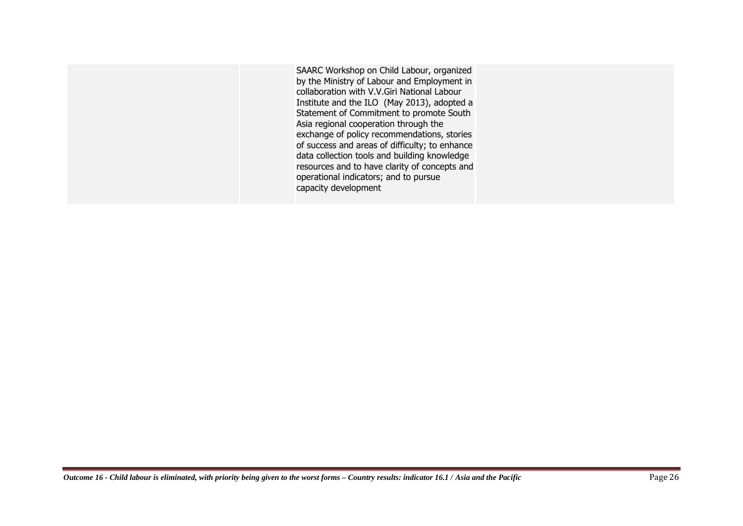SAARC Workshop on Child Labour, organized by the Ministry of Labour and Employment in collaboration with V.V.Giri National Labour Institute and the ILO (May 2013), adopted a Statement of Commitment to promote South Asia regional cooperation through the exchange of policy recommendations, stories of success and areas of difficulty; to enhance data collection tools and building knowledge resources and to have clarity of concepts and operational indicators; and to pursue capacity development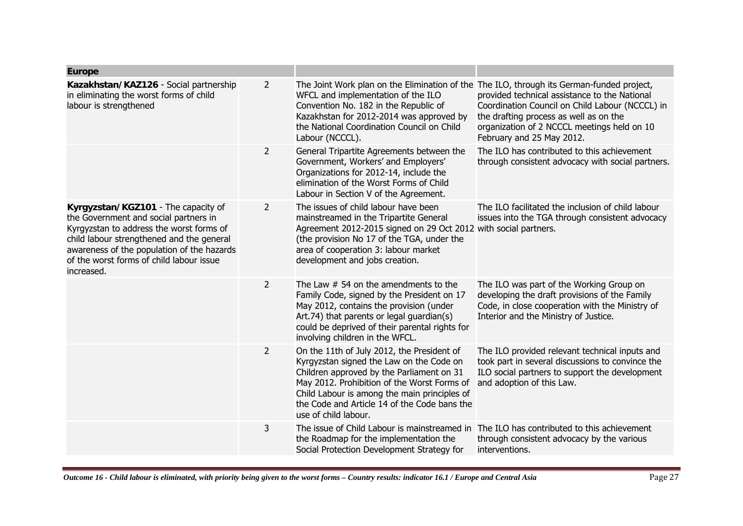| <b>Europe</b>                                                                                                                                                                                                                                                                 |                |                                                                                                                                                                                                                                                                                                            |                                                                                                                                                                                                                        |
|-------------------------------------------------------------------------------------------------------------------------------------------------------------------------------------------------------------------------------------------------------------------------------|----------------|------------------------------------------------------------------------------------------------------------------------------------------------------------------------------------------------------------------------------------------------------------------------------------------------------------|------------------------------------------------------------------------------------------------------------------------------------------------------------------------------------------------------------------------|
| Kazakhstan/KAZ126 - Social partnership<br>in eliminating the worst forms of child<br>labour is strengthened                                                                                                                                                                   | $\overline{2}$ | The Joint Work plan on the Elimination of the The ILO, through its German-funded project,<br>WFCL and implementation of the ILO<br>Convention No. 182 in the Republic of<br>Kazakhstan for 2012-2014 was approved by<br>the National Coordination Council on Child<br>Labour (NCCCL).                      | provided technical assistance to the National<br>Coordination Council on Child Labour (NCCCL) in<br>the drafting process as well as on the<br>organization of 2 NCCCL meetings held on 10<br>February and 25 May 2012. |
|                                                                                                                                                                                                                                                                               | 2              | General Tripartite Agreements between the<br>Government, Workers' and Employers'<br>Organizations for 2012-14, include the<br>elimination of the Worst Forms of Child<br>Labour in Section V of the Agreement.                                                                                             | The ILO has contributed to this achievement<br>through consistent advocacy with social partners.                                                                                                                       |
| Kyrgyzstan/KGZ101 - The capacity of<br>the Government and social partners in<br>Kyrgyzstan to address the worst forms of<br>child labour strengthened and the general<br>awareness of the population of the hazards<br>of the worst forms of child labour issue<br>increased. | $\overline{2}$ | The issues of child labour have been<br>mainstreamed in the Tripartite General<br>Agreement 2012-2015 signed on 29 Oct 2012 with social partners.<br>(the provision No 17 of the TGA, under the<br>area of cooperation 3: labour market<br>development and jobs creation.                                  | The ILO facilitated the inclusion of child labour<br>issues into the TGA through consistent advocacy                                                                                                                   |
|                                                                                                                                                                                                                                                                               | $\overline{2}$ | The Law $#$ 54 on the amendments to the<br>Family Code, signed by the President on 17<br>May 2012, contains the provision (under<br>Art.74) that parents or legal guardian(s)<br>could be deprived of their parental rights for<br>involving children in the WFCL.                                         | The ILO was part of the Working Group on<br>developing the draft provisions of the Family<br>Code, in close cooperation with the Ministry of<br>Interior and the Ministry of Justice.                                  |
|                                                                                                                                                                                                                                                                               | $\overline{2}$ | On the 11th of July 2012, the President of<br>Kyrgyzstan signed the Law on the Code on<br>Children approved by the Parliament on 31<br>May 2012. Prohibition of the Worst Forms of<br>Child Labour is among the main principles of<br>the Code and Article 14 of the Code bans the<br>use of child labour. | The ILO provided relevant technical inputs and<br>took part in several discussions to convince the<br>ILO social partners to support the development<br>and adoption of this Law.                                      |
|                                                                                                                                                                                                                                                                               | 3              | The issue of Child Labour is mainstreamed in<br>the Roadmap for the implementation the<br>Social Protection Development Strategy for                                                                                                                                                                       | The ILO has contributed to this achievement<br>through consistent advocacy by the various<br>interventions.                                                                                                            |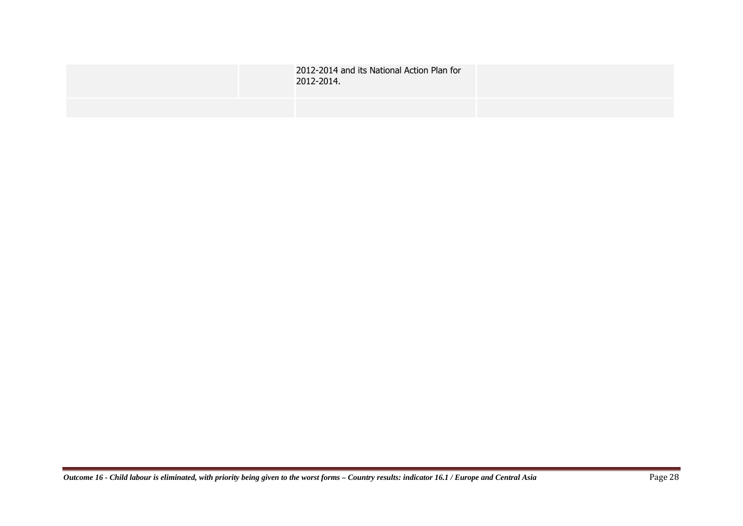| 2012-2014 and its National Action Plan for<br>2012-2014. |  |
|----------------------------------------------------------|--|
|                                                          |  |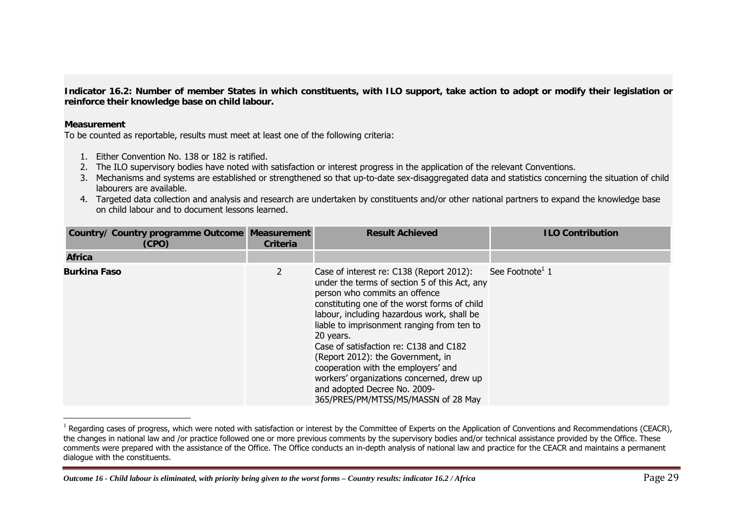**Indicator 16.2: Number of member States in which constituents, with ILO support, take action to adopt or modify their legislation or reinforce their knowledge base on child labour.** 

## **Measurement**

To be counted as reportable, results must meet at least one of the following criteria:

- 1. Either Convention No. 138 or 182 is ratified.
- 2. The ILO supervisory bodies have noted with satisfaction or interest progress in the application of the relevant Conventions.
- 3. Mechanisms and systems are established or strengthened so that up-to-date sex-disaggregated data and statistics concerning the situation of child labourers are available.
- 4. Targeted data collection and analysis and research are undertaken by constituents and/or other national partners to expand the knowledge base on child labour and to document lessons learned.

| Country/ Country programme Outcome Measurement<br>(CPO) | <b>Criteria</b> | <b>Result Achieved</b>                                                                                                                                                                                                                                                                                                                                                                                                                                                                                                        | <b>ILO Contribution</b>     |
|---------------------------------------------------------|-----------------|-------------------------------------------------------------------------------------------------------------------------------------------------------------------------------------------------------------------------------------------------------------------------------------------------------------------------------------------------------------------------------------------------------------------------------------------------------------------------------------------------------------------------------|-----------------------------|
| <b>Africa</b>                                           |                 |                                                                                                                                                                                                                                                                                                                                                                                                                                                                                                                               |                             |
| <b>Burkina Faso</b>                                     | $\overline{2}$  | Case of interest re: C138 (Report 2012):<br>under the terms of section 5 of this Act, any<br>person who commits an offence<br>constituting one of the worst forms of child<br>labour, including hazardous work, shall be<br>liable to imprisonment ranging from ten to<br>20 years.<br>Case of satisfaction re: C138 and C182<br>(Report 2012): the Government, in<br>cooperation with the employers' and<br>workers' organizations concerned, drew up<br>and adopted Decree No. 2009-<br>365/PRES/PM/MTSS/MS/MASSN of 28 May | See Footnote <sup>1</sup> 1 |

 $^1$  Regarding cases of progress, which were noted with satisfaction or interest by the Committee of Experts on the Application of Conventions and Recommendations (CEACR), the changes in national law and /or practice followed one or more previous comments by the supervisory bodies and/or technical assistance provided by the Office. These comments were prepared with the assistance of the Office. The Office conducts an in-depth analysis of national law and practice for the CEACR and maintains a permanent dialogue with the constituents.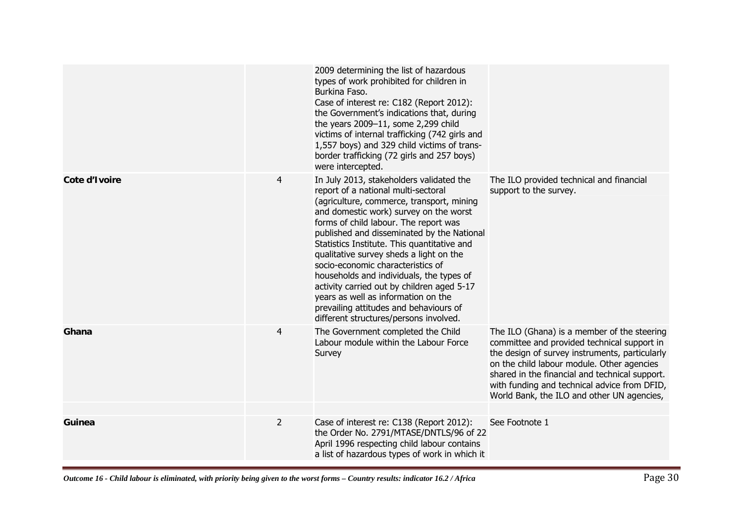|               |                | 2009 determining the list of hazardous<br>types of work prohibited for children in<br>Burkina Faso.<br>Case of interest re: C182 (Report 2012):<br>the Government's indications that, during<br>the years 2009-11, some 2,299 child<br>victims of internal trafficking (742 girls and<br>1,557 boys) and 329 child victims of trans-<br>border trafficking (72 girls and 257 boys)<br>were intercepted.                                                                                                                                                                                                           |                                                                                                                                                                                                                                                                                                                                            |
|---------------|----------------|-------------------------------------------------------------------------------------------------------------------------------------------------------------------------------------------------------------------------------------------------------------------------------------------------------------------------------------------------------------------------------------------------------------------------------------------------------------------------------------------------------------------------------------------------------------------------------------------------------------------|--------------------------------------------------------------------------------------------------------------------------------------------------------------------------------------------------------------------------------------------------------------------------------------------------------------------------------------------|
| Cote d'Ivoire | 4              | In July 2013, stakeholders validated the<br>report of a national multi-sectoral<br>(agriculture, commerce, transport, mining<br>and domestic work) survey on the worst<br>forms of child labour. The report was<br>published and disseminated by the National<br>Statistics Institute. This quantitative and<br>qualitative survey sheds a light on the<br>socio-economic characteristics of<br>households and individuals, the types of<br>activity carried out by children aged 5-17<br>years as well as information on the<br>prevailing attitudes and behaviours of<br>different structures/persons involved. | The ILO provided technical and financial<br>support to the survey.                                                                                                                                                                                                                                                                         |
| Ghana         | 4              | The Government completed the Child<br>Labour module within the Labour Force<br>Survey                                                                                                                                                                                                                                                                                                                                                                                                                                                                                                                             | The ILO (Ghana) is a member of the steering<br>committee and provided technical support in<br>the design of survey instruments, particularly<br>on the child labour module. Other agencies<br>shared in the financial and technical support.<br>with funding and technical advice from DFID,<br>World Bank, the ILO and other UN agencies, |
| Guinea        | $\overline{2}$ | Case of interest re: C138 (Report 2012):<br>the Order No. 2791/MTASE/DNTLS/96 of 22<br>April 1996 respecting child labour contains<br>a list of hazardous types of work in which it                                                                                                                                                                                                                                                                                                                                                                                                                               | See Footnote 1                                                                                                                                                                                                                                                                                                                             |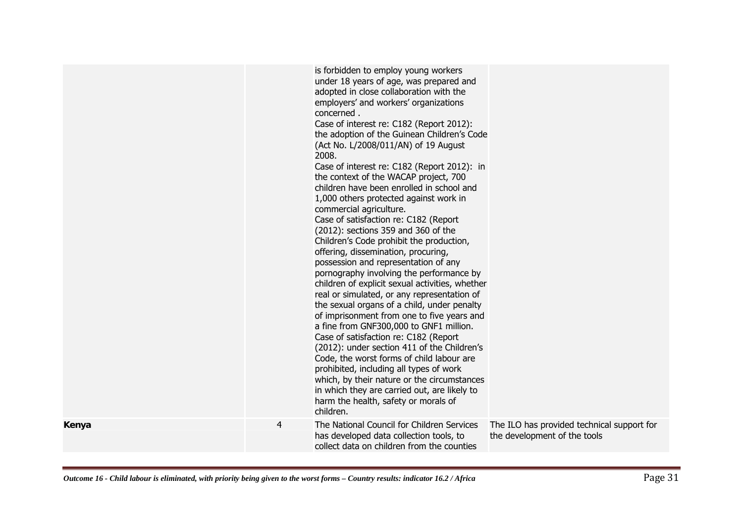|       |                | is forbidden to employ young workers<br>under 18 years of age, was prepared and<br>adopted in close collaboration with the<br>employers' and workers' organizations<br>concerned.<br>Case of interest re: C182 (Report 2012):<br>the adoption of the Guinean Children's Code<br>(Act No. L/2008/011/AN) of 19 August<br>2008.<br>Case of interest re: C182 (Report 2012): in<br>the context of the WACAP project, 700<br>children have been enrolled in school and<br>1,000 others protected against work in<br>commercial agriculture.<br>Case of satisfaction re: C182 (Report<br>(2012): sections 359 and 360 of the<br>Children's Code prohibit the production,<br>offering, dissemination, procuring,<br>possession and representation of any<br>pornography involving the performance by<br>children of explicit sexual activities, whether<br>real or simulated, or any representation of<br>the sexual organs of a child, under penalty<br>of imprisonment from one to five years and<br>a fine from GNF300,000 to GNF1 million.<br>Case of satisfaction re: C182 (Report<br>(2012): under section 411 of the Children's<br>Code, the worst forms of child labour are<br>prohibited, including all types of work<br>which, by their nature or the circumstances<br>in which they are carried out, are likely to<br>harm the health, safety or morals of<br>children. |                                                                            |
|-------|----------------|------------------------------------------------------------------------------------------------------------------------------------------------------------------------------------------------------------------------------------------------------------------------------------------------------------------------------------------------------------------------------------------------------------------------------------------------------------------------------------------------------------------------------------------------------------------------------------------------------------------------------------------------------------------------------------------------------------------------------------------------------------------------------------------------------------------------------------------------------------------------------------------------------------------------------------------------------------------------------------------------------------------------------------------------------------------------------------------------------------------------------------------------------------------------------------------------------------------------------------------------------------------------------------------------------------------------------------------------------------------------------|----------------------------------------------------------------------------|
| Kenya | $\overline{4}$ | The National Council for Children Services<br>has developed data collection tools, to<br>collect data on children from the counties                                                                                                                                                                                                                                                                                                                                                                                                                                                                                                                                                                                                                                                                                                                                                                                                                                                                                                                                                                                                                                                                                                                                                                                                                                          | The ILO has provided technical support for<br>the development of the tools |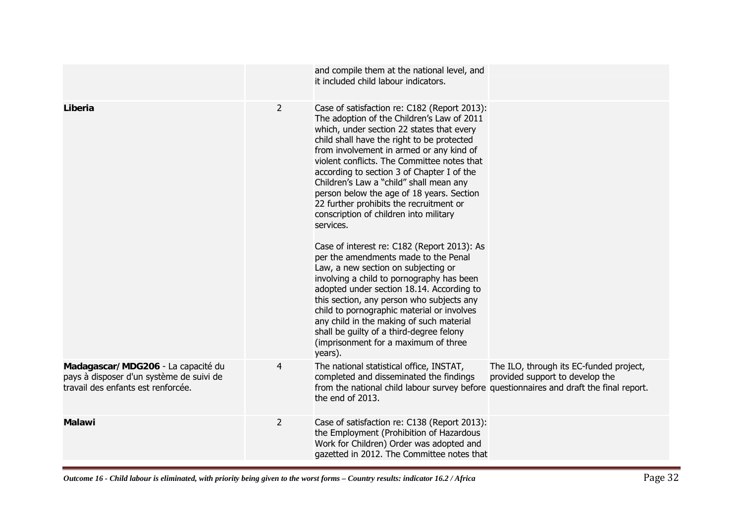|                                                                                                                      |                | and compile them at the national level, and<br>it included child labour indicators.                                                                                                                                                                                                                                                                                                                                                                                                                                                                                                                                                                                                                                                                                                                                                                                                                                                                                                    |                                                                            |
|----------------------------------------------------------------------------------------------------------------------|----------------|----------------------------------------------------------------------------------------------------------------------------------------------------------------------------------------------------------------------------------------------------------------------------------------------------------------------------------------------------------------------------------------------------------------------------------------------------------------------------------------------------------------------------------------------------------------------------------------------------------------------------------------------------------------------------------------------------------------------------------------------------------------------------------------------------------------------------------------------------------------------------------------------------------------------------------------------------------------------------------------|----------------------------------------------------------------------------|
| Liberia                                                                                                              | $\overline{2}$ | Case of satisfaction re: C182 (Report 2013):<br>The adoption of the Children's Law of 2011<br>which, under section 22 states that every<br>child shall have the right to be protected<br>from involvement in armed or any kind of<br>violent conflicts. The Committee notes that<br>according to section 3 of Chapter I of the<br>Children's Law a "child" shall mean any<br>person below the age of 18 years. Section<br>22 further prohibits the recruitment or<br>conscription of children into military<br>services.<br>Case of interest re: C182 (Report 2013): As<br>per the amendments made to the Penal<br>Law, a new section on subjecting or<br>involving a child to pornography has been<br>adopted under section 18.14. According to<br>this section, any person who subjects any<br>child to pornographic material or involves<br>any child in the making of such material<br>shall be guilty of a third-degree felony<br>(imprisonment for a maximum of three<br>years). |                                                                            |
| Madagascar/MDG206 - La capacité du<br>pays à disposer d'un système de suivi de<br>travail des enfants est renforcée. | 4              | The national statistical office, INSTAT,<br>completed and disseminated the findings<br>from the national child labour survey before questionnaires and draft the final report.<br>the end of 2013.                                                                                                                                                                                                                                                                                                                                                                                                                                                                                                                                                                                                                                                                                                                                                                                     | The ILO, through its EC-funded project,<br>provided support to develop the |
| <b>Malawi</b>                                                                                                        | $\overline{2}$ | Case of satisfaction re: C138 (Report 2013):<br>the Employment (Prohibition of Hazardous<br>Work for Children) Order was adopted and<br>gazetted in 2012. The Committee notes that                                                                                                                                                                                                                                                                                                                                                                                                                                                                                                                                                                                                                                                                                                                                                                                                     |                                                                            |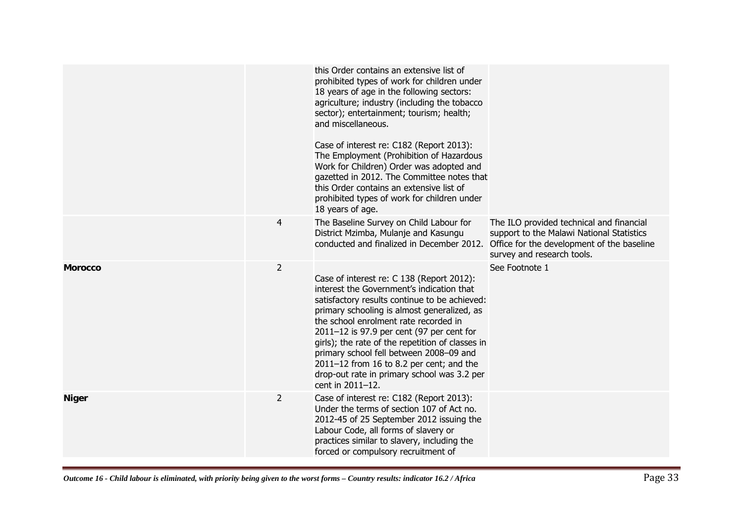|                |                | this Order contains an extensive list of<br>prohibited types of work for children under<br>18 years of age in the following sectors:<br>agriculture; industry (including the tobacco<br>sector); entertainment; tourism; health;<br>and miscellaneous.<br>Case of interest re: C182 (Report 2013):<br>The Employment (Prohibition of Hazardous<br>Work for Children) Order was adopted and<br>gazetted in 2012. The Committee notes that<br>this Order contains an extensive list of<br>prohibited types of work for children under<br>18 years of age. |                                                                                                                                                                   |
|----------------|----------------|---------------------------------------------------------------------------------------------------------------------------------------------------------------------------------------------------------------------------------------------------------------------------------------------------------------------------------------------------------------------------------------------------------------------------------------------------------------------------------------------------------------------------------------------------------|-------------------------------------------------------------------------------------------------------------------------------------------------------------------|
|                | $\overline{4}$ | The Baseline Survey on Child Labour for<br>District Mzimba, Mulanje and Kasungu<br>conducted and finalized in December 2012.                                                                                                                                                                                                                                                                                                                                                                                                                            | The ILO provided technical and financial<br>support to the Malawi National Statistics<br>Office for the development of the baseline<br>survey and research tools. |
| <b>Morocco</b> | $\overline{2}$ | Case of interest re: C 138 (Report 2012):<br>interest the Government's indication that<br>satisfactory results continue to be achieved:<br>primary schooling is almost generalized, as<br>the school enrolment rate recorded in<br>$2011 - 12$ is 97.9 per cent (97 per cent for<br>girls); the rate of the repetition of classes in<br>primary school fell between 2008-09 and<br>$2011-12$ from 16 to 8.2 per cent; and the<br>drop-out rate in primary school was 3.2 per<br>cent in 2011-12.                                                        | See Footnote 1                                                                                                                                                    |
| <b>Niger</b>   | $\overline{2}$ | Case of interest re: C182 (Report 2013):<br>Under the terms of section 107 of Act no.<br>2012-45 of 25 September 2012 issuing the<br>Labour Code, all forms of slavery or<br>practices similar to slavery, including the<br>forced or compulsory recruitment of                                                                                                                                                                                                                                                                                         |                                                                                                                                                                   |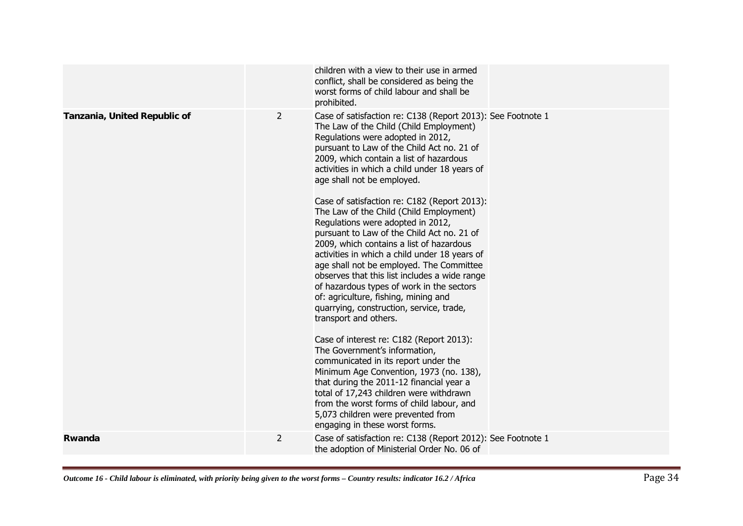|                              |   | children with a view to their use in armed<br>conflict, shall be considered as being the<br>worst forms of child labour and shall be<br>prohibited.                                                                                                                                                                                                                                                                                                                                                                                                                                                                                                                                                                                                                                                                                                                                                                                                                                                                                                                                                                                                                                                                               |
|------------------------------|---|-----------------------------------------------------------------------------------------------------------------------------------------------------------------------------------------------------------------------------------------------------------------------------------------------------------------------------------------------------------------------------------------------------------------------------------------------------------------------------------------------------------------------------------------------------------------------------------------------------------------------------------------------------------------------------------------------------------------------------------------------------------------------------------------------------------------------------------------------------------------------------------------------------------------------------------------------------------------------------------------------------------------------------------------------------------------------------------------------------------------------------------------------------------------------------------------------------------------------------------|
| Tanzania, United Republic of | 2 | Case of satisfaction re: C138 (Report 2013): See Footnote 1<br>The Law of the Child (Child Employment)<br>Regulations were adopted in 2012,<br>pursuant to Law of the Child Act no. 21 of<br>2009, which contain a list of hazardous<br>activities in which a child under 18 years of<br>age shall not be employed.<br>Case of satisfaction re: C182 (Report 2013):<br>The Law of the Child (Child Employment)<br>Regulations were adopted in 2012,<br>pursuant to Law of the Child Act no. 21 of<br>2009, which contains a list of hazardous<br>activities in which a child under 18 years of<br>age shall not be employed. The Committee<br>observes that this list includes a wide range<br>of hazardous types of work in the sectors<br>of: agriculture, fishing, mining and<br>quarrying, construction, service, trade,<br>transport and others.<br>Case of interest re: C182 (Report 2013):<br>The Government's information,<br>communicated in its report under the<br>Minimum Age Convention, 1973 (no. 138),<br>that during the 2011-12 financial year a<br>total of 17,243 children were withdrawn<br>from the worst forms of child labour, and<br>5,073 children were prevented from<br>engaging in these worst forms. |
| Rwanda                       | 2 | Case of satisfaction re: C138 (Report 2012): See Footnote 1<br>the adoption of Ministerial Order No. 06 of                                                                                                                                                                                                                                                                                                                                                                                                                                                                                                                                                                                                                                                                                                                                                                                                                                                                                                                                                                                                                                                                                                                        |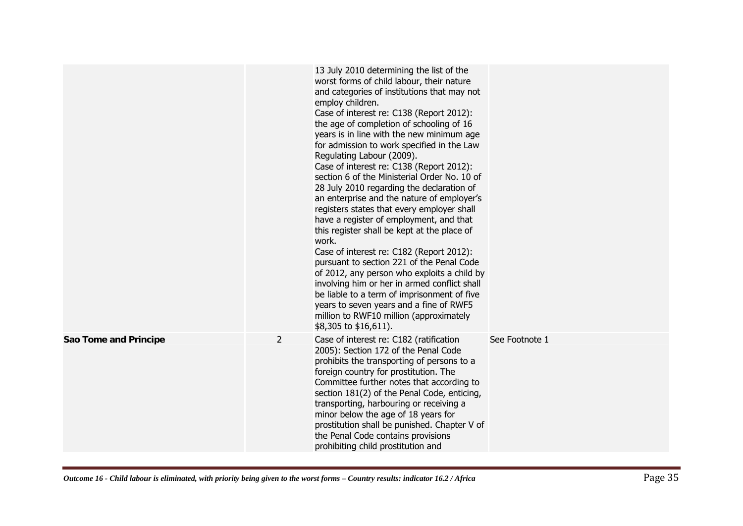|                       |                | 13 July 2010 determining the list of the<br>worst forms of child labour, their nature<br>and categories of institutions that may not<br>employ children.<br>Case of interest re: C138 (Report 2012):<br>the age of completion of schooling of 16<br>years is in line with the new minimum age<br>for admission to work specified in the Law<br>Regulating Labour (2009).<br>Case of interest re: C138 (Report 2012):<br>section 6 of the Ministerial Order No. 10 of<br>28 July 2010 regarding the declaration of<br>an enterprise and the nature of employer's<br>registers states that every employer shall<br>have a register of employment, and that<br>this register shall be kept at the place of<br>work.<br>Case of interest re: C182 (Report 2012):<br>pursuant to section 221 of the Penal Code<br>of 2012, any person who exploits a child by<br>involving him or her in armed conflict shall<br>be liable to a term of imprisonment of five<br>years to seven years and a fine of RWF5<br>million to RWF10 million (approximately<br>\$8,305 to \$16,611). |                |
|-----------------------|----------------|------------------------------------------------------------------------------------------------------------------------------------------------------------------------------------------------------------------------------------------------------------------------------------------------------------------------------------------------------------------------------------------------------------------------------------------------------------------------------------------------------------------------------------------------------------------------------------------------------------------------------------------------------------------------------------------------------------------------------------------------------------------------------------------------------------------------------------------------------------------------------------------------------------------------------------------------------------------------------------------------------------------------------------------------------------------------|----------------|
| Sao Tome and Principe | $\overline{2}$ | Case of interest re: C182 (ratification<br>2005): Section 172 of the Penal Code<br>prohibits the transporting of persons to a<br>foreign country for prostitution. The<br>Committee further notes that according to<br>section 181(2) of the Penal Code, enticing,<br>transporting, harbouring or receiving a<br>minor below the age of 18 years for<br>prostitution shall be punished. Chapter V of<br>the Penal Code contains provisions<br>prohibiting child prostitution and                                                                                                                                                                                                                                                                                                                                                                                                                                                                                                                                                                                       | See Footnote 1 |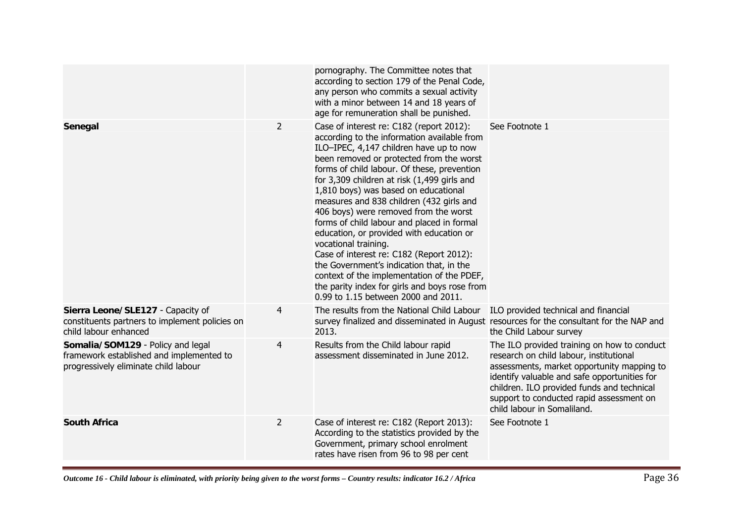|                                                                                                                       |                | pornography. The Committee notes that<br>according to section 179 of the Penal Code,<br>any person who commits a sexual activity<br>with a minor between 14 and 18 years of<br>age for remuneration shall be punished.                                                                                                                                                                                                                                                                                                                                                                                                                                                                                                                                    |                                                                                                                                                                                                                                                                                                               |
|-----------------------------------------------------------------------------------------------------------------------|----------------|-----------------------------------------------------------------------------------------------------------------------------------------------------------------------------------------------------------------------------------------------------------------------------------------------------------------------------------------------------------------------------------------------------------------------------------------------------------------------------------------------------------------------------------------------------------------------------------------------------------------------------------------------------------------------------------------------------------------------------------------------------------|---------------------------------------------------------------------------------------------------------------------------------------------------------------------------------------------------------------------------------------------------------------------------------------------------------------|
| Senegal                                                                                                               | $\overline{2}$ | Case of interest re: C182 (report 2012):<br>according to the information available from<br>ILO-IPEC, 4,147 children have up to now<br>been removed or protected from the worst<br>forms of child labour. Of these, prevention<br>for 3,309 children at risk (1,499 girls and<br>1,810 boys) was based on educational<br>measures and 838 children (432 girls and<br>406 boys) were removed from the worst<br>forms of child labour and placed in formal<br>education, or provided with education or<br>vocational training.<br>Case of interest re: C182 (Report 2012):<br>the Government's indication that, in the<br>context of the implementation of the PDEF,<br>the parity index for girls and boys rose from<br>0.99 to 1.15 between 2000 and 2011. | See Footnote 1                                                                                                                                                                                                                                                                                                |
| Sierra Leone/SLE127 - Capacity of<br>constituents partners to implement policies on<br>child labour enhanced          | 4              | The results from the National Child Labour<br>2013.                                                                                                                                                                                                                                                                                                                                                                                                                                                                                                                                                                                                                                                                                                       | ILO provided technical and financial<br>survey finalized and disseminated in August resources for the consultant for the NAP and<br>the Child Labour survey                                                                                                                                                   |
| Somalia/SOM129 - Policy and legal<br>framework established and implemented to<br>progressively eliminate child labour | $\overline{4}$ | Results from the Child labour rapid<br>assessment disseminated in June 2012.                                                                                                                                                                                                                                                                                                                                                                                                                                                                                                                                                                                                                                                                              | The ILO provided training on how to conduct<br>research on child labour, institutional<br>assessments, market opportunity mapping to<br>identify valuable and safe opportunities for<br>children. ILO provided funds and technical<br>support to conducted rapid assessment on<br>child labour in Somaliland. |
| <b>South Africa</b>                                                                                                   | $\overline{2}$ | Case of interest re: C182 (Report 2013):<br>According to the statistics provided by the<br>Government, primary school enrolment<br>rates have risen from 96 to 98 per cent                                                                                                                                                                                                                                                                                                                                                                                                                                                                                                                                                                                | See Footnote 1                                                                                                                                                                                                                                                                                                |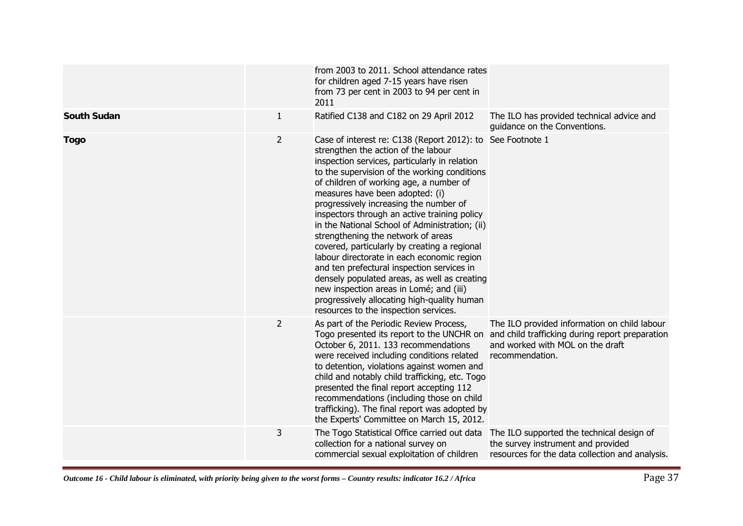|                    |                | from 2003 to 2011. School attendance rates<br>for children aged 7-15 years have risen<br>from 73 per cent in 2003 to 94 per cent in<br>2011                                                                                                                                                                                                                                                                                                                                                                                                                                                                                                                                                                                                                                                       |                                                                                                                                                        |
|--------------------|----------------|---------------------------------------------------------------------------------------------------------------------------------------------------------------------------------------------------------------------------------------------------------------------------------------------------------------------------------------------------------------------------------------------------------------------------------------------------------------------------------------------------------------------------------------------------------------------------------------------------------------------------------------------------------------------------------------------------------------------------------------------------------------------------------------------------|--------------------------------------------------------------------------------------------------------------------------------------------------------|
| <b>South Sudan</b> | 1              | Ratified C138 and C182 on 29 April 2012                                                                                                                                                                                                                                                                                                                                                                                                                                                                                                                                                                                                                                                                                                                                                           | The ILO has provided technical advice and<br>guidance on the Conventions.                                                                              |
| <b>Togo</b>        | $\overline{2}$ | Case of interest re: C138 (Report 2012): to See Footnote 1<br>strengthen the action of the labour<br>inspection services, particularly in relation<br>to the supervision of the working conditions<br>of children of working age, a number of<br>measures have been adopted: (i)<br>progressively increasing the number of<br>inspectors through an active training policy<br>in the National School of Administration; (ii)<br>strengthening the network of areas<br>covered, particularly by creating a regional<br>labour directorate in each economic region<br>and ten prefectural inspection services in<br>densely populated areas, as well as creating<br>new inspection areas in Lomé; and (iii)<br>progressively allocating high-quality human<br>resources to the inspection services. |                                                                                                                                                        |
|                    | $\overline{2}$ | As part of the Periodic Review Process,<br>Togo presented its report to the UNCHR on<br>October 6, 2011. 133 recommendations<br>were received including conditions related<br>to detention, violations against women and<br>child and notably child trafficking, etc. Togo<br>presented the final report accepting 112<br>recommendations (including those on child<br>trafficking). The final report was adopted by<br>the Experts' Committee on March 15, 2012.                                                                                                                                                                                                                                                                                                                                 | The ILO provided information on child labour<br>and child trafficking during report preparation<br>and worked with MOL on the draft<br>recommendation. |
|                    | 3              | The Togo Statistical Office carried out data<br>collection for a national survey on<br>commercial sexual exploitation of children                                                                                                                                                                                                                                                                                                                                                                                                                                                                                                                                                                                                                                                                 | The ILO supported the technical design of<br>the survey instrument and provided<br>resources for the data collection and analysis.                     |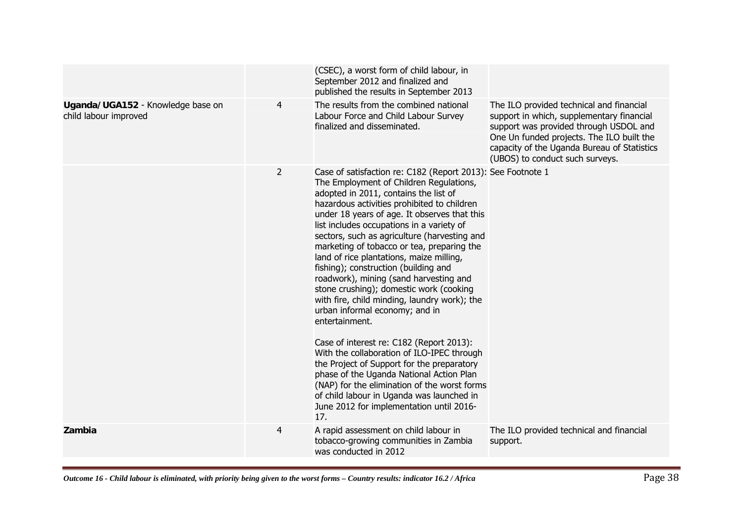|                                                            |                | (CSEC), a worst form of child labour, in<br>September 2012 and finalized and<br>published the results in September 2013                                                                                                                                                                                                                                                                                                                                                                                                                                                                                                                                                                                                                                                                                                                                                                                                                                                                                    |                                                                                                                                                                                                                                                                |
|------------------------------------------------------------|----------------|------------------------------------------------------------------------------------------------------------------------------------------------------------------------------------------------------------------------------------------------------------------------------------------------------------------------------------------------------------------------------------------------------------------------------------------------------------------------------------------------------------------------------------------------------------------------------------------------------------------------------------------------------------------------------------------------------------------------------------------------------------------------------------------------------------------------------------------------------------------------------------------------------------------------------------------------------------------------------------------------------------|----------------------------------------------------------------------------------------------------------------------------------------------------------------------------------------------------------------------------------------------------------------|
| Uganda/UGA152 - Knowledge base on<br>child labour improved | 4              | The results from the combined national<br>Labour Force and Child Labour Survey<br>finalized and disseminated.                                                                                                                                                                                                                                                                                                                                                                                                                                                                                                                                                                                                                                                                                                                                                                                                                                                                                              | The ILO provided technical and financial<br>support in which, supplementary financial<br>support was provided through USDOL and<br>One Un funded projects. The ILO built the<br>capacity of the Uganda Bureau of Statistics<br>(UBOS) to conduct such surveys. |
|                                                            | $\overline{2}$ | Case of satisfaction re: C182 (Report 2013): See Footnote 1<br>The Employment of Children Regulations,<br>adopted in 2011, contains the list of<br>hazardous activities prohibited to children<br>under 18 years of age. It observes that this<br>list includes occupations in a variety of<br>sectors, such as agriculture (harvesting and<br>marketing of tobacco or tea, preparing the<br>land of rice plantations, maize milling,<br>fishing); construction (building and<br>roadwork), mining (sand harvesting and<br>stone crushing); domestic work (cooking<br>with fire, child minding, laundry work); the<br>urban informal economy; and in<br>entertainment.<br>Case of interest re: C182 (Report 2013):<br>With the collaboration of ILO-IPEC through<br>the Project of Support for the preparatory<br>phase of the Uganda National Action Plan<br>(NAP) for the elimination of the worst forms<br>of child labour in Uganda was launched in<br>June 2012 for implementation until 2016-<br>17. |                                                                                                                                                                                                                                                                |
| Zambia                                                     | 4              | A rapid assessment on child labour in<br>tobacco-growing communities in Zambia<br>was conducted in 2012                                                                                                                                                                                                                                                                                                                                                                                                                                                                                                                                                                                                                                                                                                                                                                                                                                                                                                    | The ILO provided technical and financial<br>support.                                                                                                                                                                                                           |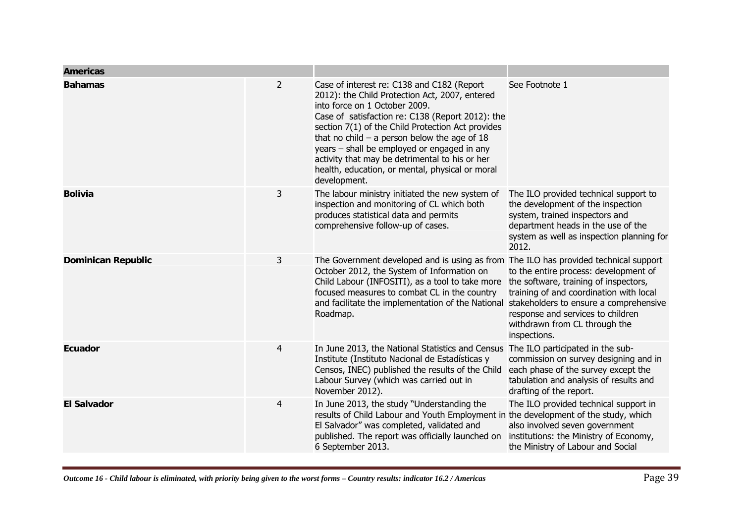| <b>Americas</b>           |                |                                                                                                                                                                                                                                                                                                                                                                                                                                                              |                                                                                                                                                                                                                 |
|---------------------------|----------------|--------------------------------------------------------------------------------------------------------------------------------------------------------------------------------------------------------------------------------------------------------------------------------------------------------------------------------------------------------------------------------------------------------------------------------------------------------------|-----------------------------------------------------------------------------------------------------------------------------------------------------------------------------------------------------------------|
| <b>Bahamas</b>            | $\overline{2}$ | Case of interest re: C138 and C182 (Report<br>2012): the Child Protection Act, 2007, entered<br>into force on 1 October 2009.<br>Case of satisfaction re: C138 (Report 2012): the<br>section 7(1) of the Child Protection Act provides<br>that no child $-$ a person below the age of 18<br>years - shall be employed or engaged in any<br>activity that may be detrimental to his or her<br>health, education, or mental, physical or moral<br>development. | See Footnote 1                                                                                                                                                                                                  |
| <b>Bolivia</b>            | 3              | The labour ministry initiated the new system of<br>inspection and monitoring of CL which both<br>produces statistical data and permits<br>comprehensive follow-up of cases.                                                                                                                                                                                                                                                                                  | The ILO provided technical support to<br>the development of the inspection<br>system, trained inspectors and<br>department heads in the use of the<br>system as well as inspection planning for<br>2012.        |
| <b>Dominican Republic</b> | 3              | The Government developed and is using as from The ILO has provided technical support<br>October 2012, the System of Information on<br>Child Labour (INFOSITI), as a tool to take more<br>focused measures to combat CL in the country<br>and facilitate the implementation of the National stakeholders to ensure a comprehensive<br>Roadmap.                                                                                                                | to the entire process: development of<br>the software, training of inspectors,<br>training of and coordination with local<br>response and services to children<br>withdrawn from CL through the<br>inspections. |
| Ecuador                   | $\overline{4}$ | In June 2013, the National Statistics and Census<br>Institute (Instituto Nacional de Estadísticas y<br>Censos, INEC) published the results of the Child<br>Labour Survey (which was carried out in<br>November 2012).                                                                                                                                                                                                                                        | The ILO participated in the sub-<br>commission on survey designing and in<br>each phase of the survey except the<br>tabulation and analysis of results and<br>drafting of the report.                           |
| <b>El Salvador</b>        | 4              | In June 2013, the study "Understanding the<br>results of Child Labour and Youth Employment in the development of the study, which<br>El Salvador" was completed, validated and<br>published. The report was officially launched on<br>6 September 2013.                                                                                                                                                                                                      | The ILO provided technical support in<br>also involved seven government<br>institutions: the Ministry of Economy,<br>the Ministry of Labour and Social                                                          |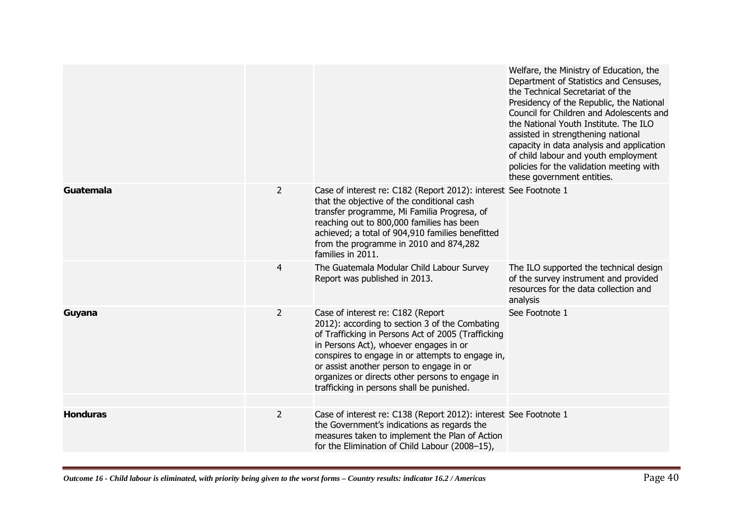|                 |                |                                                                                                                                                                                                                                                                                                                                                                                     | Welfare, the Ministry of Education, the<br>Department of Statistics and Censuses,<br>the Technical Secretariat of the<br>Presidency of the Republic, the National<br>Council for Children and Adolescents and<br>the National Youth Institute. The ILO<br>assisted in strengthening national<br>capacity in data analysis and application<br>of child labour and youth employment<br>policies for the validation meeting with<br>these government entities. |
|-----------------|----------------|-------------------------------------------------------------------------------------------------------------------------------------------------------------------------------------------------------------------------------------------------------------------------------------------------------------------------------------------------------------------------------------|-------------------------------------------------------------------------------------------------------------------------------------------------------------------------------------------------------------------------------------------------------------------------------------------------------------------------------------------------------------------------------------------------------------------------------------------------------------|
| Guatemala       | $\overline{2}$ | Case of interest re: C182 (Report 2012): interest See Footnote 1<br>that the objective of the conditional cash<br>transfer programme, Mi Familia Progresa, of<br>reaching out to 800,000 families has been<br>achieved; a total of 904,910 families benefitted<br>from the programme in 2010 and 874,282<br>families in 2011.                                                       |                                                                                                                                                                                                                                                                                                                                                                                                                                                             |
|                 | $\overline{4}$ | The Guatemala Modular Child Labour Survey<br>Report was published in 2013.                                                                                                                                                                                                                                                                                                          | The ILO supported the technical design<br>of the survey instrument and provided<br>resources for the data collection and<br>analysis                                                                                                                                                                                                                                                                                                                        |
| Guyana          | $\overline{2}$ | Case of interest re: C182 (Report<br>2012): according to section 3 of the Combating<br>of Trafficking in Persons Act of 2005 (Trafficking<br>in Persons Act), whoever engages in or<br>conspires to engage in or attempts to engage in,<br>or assist another person to engage in or<br>organizes or directs other persons to engage in<br>trafficking in persons shall be punished. | See Footnote 1                                                                                                                                                                                                                                                                                                                                                                                                                                              |
| <b>Honduras</b> | $\overline{2}$ | Case of interest re: C138 (Report 2012): interest See Footnote 1<br>the Government's indications as regards the<br>measures taken to implement the Plan of Action<br>for the Elimination of Child Labour (2008-15),                                                                                                                                                                 |                                                                                                                                                                                                                                                                                                                                                                                                                                                             |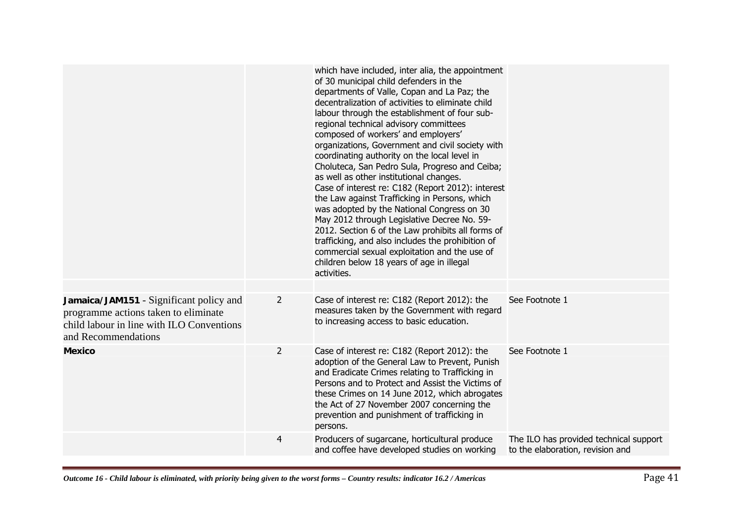|                                                                                                                                                     |                | which have included, inter alia, the appointment<br>of 30 municipal child defenders in the<br>departments of Valle, Copan and La Paz; the<br>decentralization of activities to eliminate child<br>labour through the establishment of four sub-<br>regional technical advisory committees<br>composed of workers' and employers'<br>organizations, Government and civil society with<br>coordinating authority on the local level in<br>Choluteca, San Pedro Sula, Progreso and Ceiba;<br>as well as other institutional changes.<br>Case of interest re: C182 (Report 2012): interest<br>the Law against Trafficking in Persons, which<br>was adopted by the National Congress on 30<br>May 2012 through Legislative Decree No. 59-<br>2012. Section 6 of the Law prohibits all forms of<br>trafficking, and also includes the prohibition of<br>commercial sexual exploitation and the use of<br>children below 18 years of age in illegal<br>activities. |                                                                            |
|-----------------------------------------------------------------------------------------------------------------------------------------------------|----------------|-------------------------------------------------------------------------------------------------------------------------------------------------------------------------------------------------------------------------------------------------------------------------------------------------------------------------------------------------------------------------------------------------------------------------------------------------------------------------------------------------------------------------------------------------------------------------------------------------------------------------------------------------------------------------------------------------------------------------------------------------------------------------------------------------------------------------------------------------------------------------------------------------------------------------------------------------------------|----------------------------------------------------------------------------|
| Jamaica/JAM151 - Significant policy and<br>programme actions taken to eliminate<br>child labour in line with ILO Conventions<br>and Recommendations | 2              | Case of interest re: C182 (Report 2012): the<br>measures taken by the Government with regard<br>to increasing access to basic education.                                                                                                                                                                                                                                                                                                                                                                                                                                                                                                                                                                                                                                                                                                                                                                                                                    | See Footnote 1                                                             |
| <b>Mexico</b>                                                                                                                                       | $\overline{2}$ | Case of interest re: C182 (Report 2012): the<br>adoption of the General Law to Prevent, Punish<br>and Eradicate Crimes relating to Trafficking in<br>Persons and to Protect and Assist the Victims of<br>these Crimes on 14 June 2012, which abrogates<br>the Act of 27 November 2007 concerning the<br>prevention and punishment of trafficking in<br>persons.                                                                                                                                                                                                                                                                                                                                                                                                                                                                                                                                                                                             | See Footnote 1                                                             |
|                                                                                                                                                     | 4              | Producers of sugarcane, horticultural produce<br>and coffee have developed studies on working                                                                                                                                                                                                                                                                                                                                                                                                                                                                                                                                                                                                                                                                                                                                                                                                                                                               | The ILO has provided technical support<br>to the elaboration, revision and |
|                                                                                                                                                     |                |                                                                                                                                                                                                                                                                                                                                                                                                                                                                                                                                                                                                                                                                                                                                                                                                                                                                                                                                                             |                                                                            |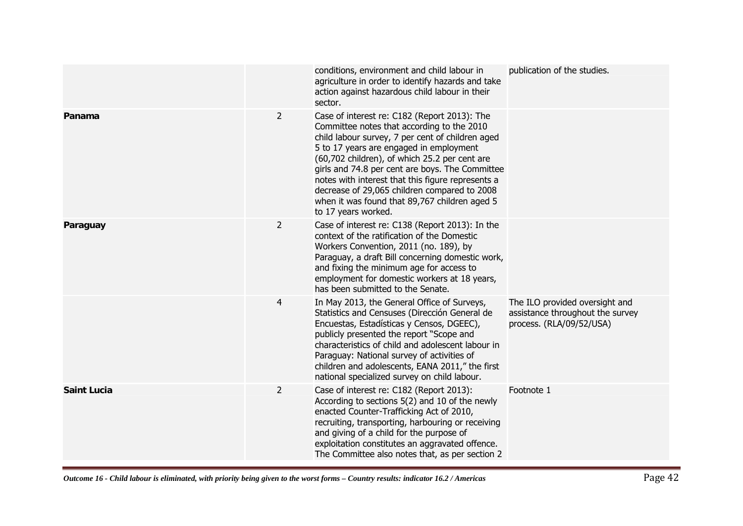|                    |                | conditions, environment and child labour in<br>agriculture in order to identify hazards and take<br>action against hazardous child labour in their<br>sector.                                                                                                                                                                                                                                                                                                              | publication of the studies.                                                                    |
|--------------------|----------------|----------------------------------------------------------------------------------------------------------------------------------------------------------------------------------------------------------------------------------------------------------------------------------------------------------------------------------------------------------------------------------------------------------------------------------------------------------------------------|------------------------------------------------------------------------------------------------|
| Panama             | $\overline{2}$ | Case of interest re: C182 (Report 2013): The<br>Committee notes that according to the 2010<br>child labour survey, 7 per cent of children aged<br>5 to 17 years are engaged in employment<br>(60,702 children), of which 25.2 per cent are<br>girls and 74.8 per cent are boys. The Committee<br>notes with interest that this figure represents a<br>decrease of 29,065 children compared to 2008<br>when it was found that 89,767 children aged 5<br>to 17 years worked. |                                                                                                |
| Paraguay           | $\overline{2}$ | Case of interest re: C138 (Report 2013): In the<br>context of the ratification of the Domestic<br>Workers Convention, 2011 (no. 189), by<br>Paraguay, a draft Bill concerning domestic work,<br>and fixing the minimum age for access to<br>employment for domestic workers at 18 years,<br>has been submitted to the Senate.                                                                                                                                              |                                                                                                |
|                    | $\overline{4}$ | In May 2013, the General Office of Surveys,<br>Statistics and Censuses (Dirección General de<br>Encuestas, Estadísticas y Censos, DGEEC),<br>publicly presented the report "Scope and<br>characteristics of child and adolescent labour in<br>Paraguay: National survey of activities of<br>children and adolescents, EANA 2011," the first<br>national specialized survey on child labour.                                                                                | The ILO provided oversight and<br>assistance throughout the survey<br>process. (RLA/09/52/USA) |
| <b>Saint Lucia</b> | $\overline{2}$ | Case of interest re: C182 (Report 2013):<br>According to sections 5(2) and 10 of the newly<br>enacted Counter-Trafficking Act of 2010,<br>recruiting, transporting, harbouring or receiving<br>and giving of a child for the purpose of<br>exploitation constitutes an aggravated offence.<br>The Committee also notes that, as per section 2                                                                                                                              | Footnote 1                                                                                     |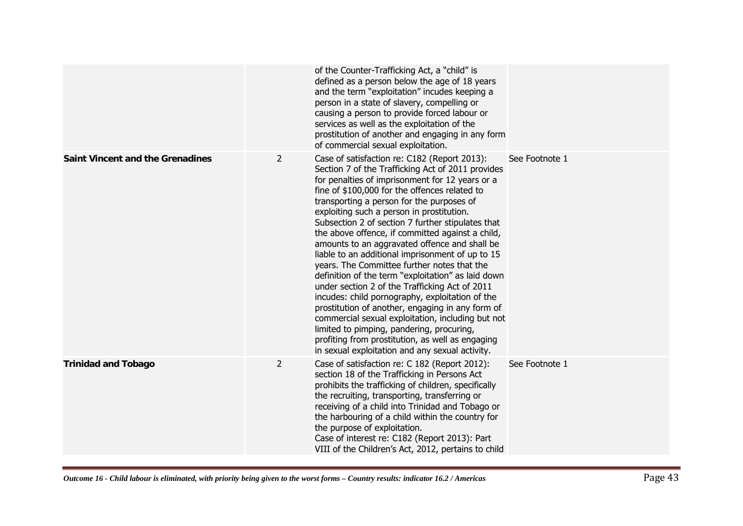|                                         |                | of the Counter-Trafficking Act, a "child" is<br>defined as a person below the age of 18 years<br>and the term "exploitation" incudes keeping a<br>person in a state of slavery, compelling or<br>causing a person to provide forced labour or<br>services as well as the exploitation of the<br>prostitution of another and engaging in any form<br>of commercial sexual exploitation.                                                                                                                                                                                                                                                                                                                                                                                                                                                                                                                                                                                               |                |
|-----------------------------------------|----------------|--------------------------------------------------------------------------------------------------------------------------------------------------------------------------------------------------------------------------------------------------------------------------------------------------------------------------------------------------------------------------------------------------------------------------------------------------------------------------------------------------------------------------------------------------------------------------------------------------------------------------------------------------------------------------------------------------------------------------------------------------------------------------------------------------------------------------------------------------------------------------------------------------------------------------------------------------------------------------------------|----------------|
| <b>Saint Vincent and the Grenadines</b> | 2              | Case of satisfaction re: C182 (Report 2013):<br>Section 7 of the Trafficking Act of 2011 provides<br>for penalties of imprisonment for 12 years or a<br>fine of \$100,000 for the offences related to<br>transporting a person for the purposes of<br>exploiting such a person in prostitution.<br>Subsection 2 of section 7 further stipulates that<br>the above offence, if committed against a child,<br>amounts to an aggravated offence and shall be<br>liable to an additional imprisonment of up to 15<br>years. The Committee further notes that the<br>definition of the term "exploitation" as laid down<br>under section 2 of the Trafficking Act of 2011<br>incudes: child pornography, exploitation of the<br>prostitution of another, engaging in any form of<br>commercial sexual exploitation, including but not<br>limited to pimping, pandering, procuring,<br>profiting from prostitution, as well as engaging<br>in sexual exploitation and any sexual activity. | See Footnote 1 |
| <b>Trinidad and Tobago</b>              | $\overline{2}$ | Case of satisfaction re: C 182 (Report 2012):<br>section 18 of the Trafficking in Persons Act<br>prohibits the trafficking of children, specifically<br>the recruiting, transporting, transferring or<br>receiving of a child into Trinidad and Tobago or<br>the harbouring of a child within the country for<br>the purpose of exploitation.<br>Case of interest re: C182 (Report 2013): Part<br>VIII of the Children's Act, 2012, pertains to child                                                                                                                                                                                                                                                                                                                                                                                                                                                                                                                                | See Footnote 1 |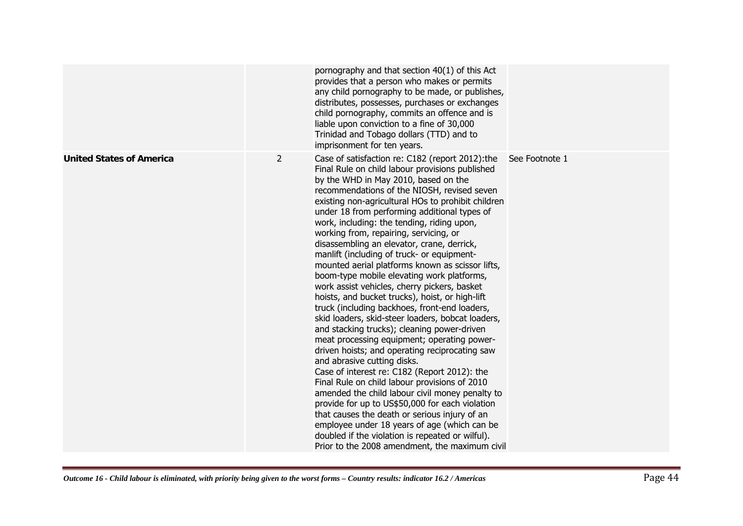|                                 |                | pornography and that section 40(1) of this Act<br>provides that a person who makes or permits<br>any child pornography to be made, or publishes,<br>distributes, possesses, purchases or exchanges<br>child pornography, commits an offence and is<br>liable upon conviction to a fine of 30,000<br>Trinidad and Tobago dollars (TTD) and to<br>imprisonment for ten years.                                                                                                                                                                                                                                                                                                                                                                                                                                                                                                                                                                                                                                                                                                                                                                                                                                                                                                                                                                                                                  |                |
|---------------------------------|----------------|----------------------------------------------------------------------------------------------------------------------------------------------------------------------------------------------------------------------------------------------------------------------------------------------------------------------------------------------------------------------------------------------------------------------------------------------------------------------------------------------------------------------------------------------------------------------------------------------------------------------------------------------------------------------------------------------------------------------------------------------------------------------------------------------------------------------------------------------------------------------------------------------------------------------------------------------------------------------------------------------------------------------------------------------------------------------------------------------------------------------------------------------------------------------------------------------------------------------------------------------------------------------------------------------------------------------------------------------------------------------------------------------|----------------|
| <b>United States of America</b> | $\overline{2}$ | Case of satisfaction re: C182 (report 2012): the<br>Final Rule on child labour provisions published<br>by the WHD in May 2010, based on the<br>recommendations of the NIOSH, revised seven<br>existing non-agricultural HOs to prohibit children<br>under 18 from performing additional types of<br>work, including: the tending, riding upon,<br>working from, repairing, servicing, or<br>disassembling an elevator, crane, derrick,<br>manlift (including of truck- or equipment-<br>mounted aerial platforms known as scissor lifts,<br>boom-type mobile elevating work platforms,<br>work assist vehicles, cherry pickers, basket<br>hoists, and bucket trucks), hoist, or high-lift<br>truck (including backhoes, front-end loaders,<br>skid loaders, skid-steer loaders, bobcat loaders,<br>and stacking trucks); cleaning power-driven<br>meat processing equipment; operating power-<br>driven hoists; and operating reciprocating saw<br>and abrasive cutting disks.<br>Case of interest re: C182 (Report 2012): the<br>Final Rule on child labour provisions of 2010<br>amended the child labour civil money penalty to<br>provide for up to US\$50,000 for each violation<br>that causes the death or serious injury of an<br>employee under 18 years of age (which can be<br>doubled if the violation is repeated or wilful).<br>Prior to the 2008 amendment, the maximum civil | See Footnote 1 |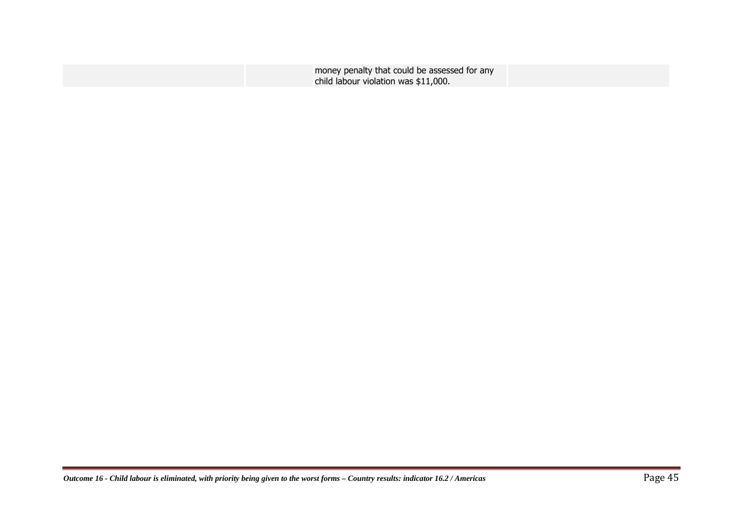| money penalty that could be assessed for any |
|----------------------------------------------|
| child labour violation was \$11,000.         |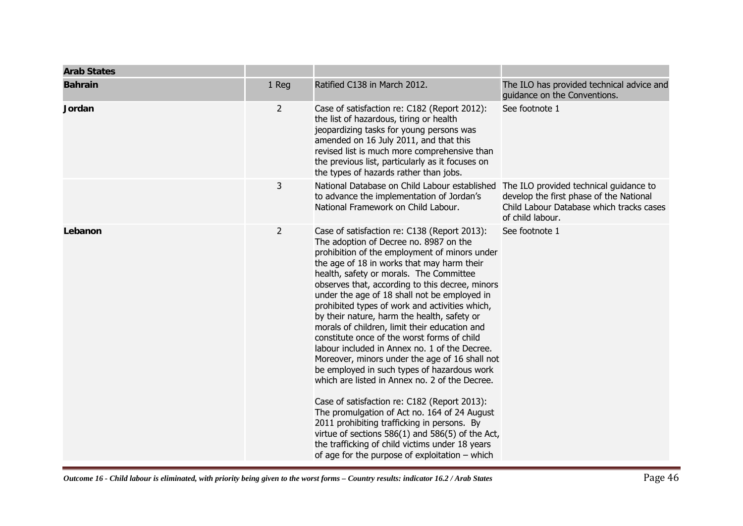| <b>Arab States</b> |                |                                                                                                                                                                                                                                                                                                                                                                                                                                                                                                                                                                                                                                                                                                                                                                                                                                                                                                                                                                                                                                                      |                                                                                                         |
|--------------------|----------------|------------------------------------------------------------------------------------------------------------------------------------------------------------------------------------------------------------------------------------------------------------------------------------------------------------------------------------------------------------------------------------------------------------------------------------------------------------------------------------------------------------------------------------------------------------------------------------------------------------------------------------------------------------------------------------------------------------------------------------------------------------------------------------------------------------------------------------------------------------------------------------------------------------------------------------------------------------------------------------------------------------------------------------------------------|---------------------------------------------------------------------------------------------------------|
| <b>Bahrain</b>     | 1 Reg          | Ratified C138 in March 2012.                                                                                                                                                                                                                                                                                                                                                                                                                                                                                                                                                                                                                                                                                                                                                                                                                                                                                                                                                                                                                         | The ILO has provided technical advice and<br>guidance on the Conventions.                               |
| Jordan             | $\overline{2}$ | Case of satisfaction re: C182 (Report 2012):<br>the list of hazardous, tiring or health<br>jeopardizing tasks for young persons was<br>amended on 16 July 2011, and that this<br>revised list is much more comprehensive than<br>the previous list, particularly as it focuses on<br>the types of hazards rather than jobs.                                                                                                                                                                                                                                                                                                                                                                                                                                                                                                                                                                                                                                                                                                                          | See footnote 1                                                                                          |
|                    | 3              | National Database on Child Labour established The ILO provided technical guidance to<br>to advance the implementation of Jordan's<br>National Framework on Child Labour.                                                                                                                                                                                                                                                                                                                                                                                                                                                                                                                                                                                                                                                                                                                                                                                                                                                                             | develop the first phase of the National<br>Child Labour Database which tracks cases<br>of child labour. |
| Lebanon            | $\overline{2}$ | Case of satisfaction re: C138 (Report 2013):<br>The adoption of Decree no. 8987 on the<br>prohibition of the employment of minors under<br>the age of 18 in works that may harm their<br>health, safety or morals. The Committee<br>observes that, according to this decree, minors<br>under the age of 18 shall not be employed in<br>prohibited types of work and activities which,<br>by their nature, harm the health, safety or<br>morals of children, limit their education and<br>constitute once of the worst forms of child<br>labour included in Annex no. 1 of the Decree.<br>Moreover, minors under the age of 16 shall not<br>be employed in such types of hazardous work<br>which are listed in Annex no. 2 of the Decree.<br>Case of satisfaction re: C182 (Report 2013):<br>The promulgation of Act no. 164 of 24 August<br>2011 prohibiting trafficking in persons. By<br>virtue of sections $586(1)$ and $586(5)$ of the Act,<br>the trafficking of child victims under 18 years<br>of age for the purpose of exploitation - which | See footnote 1                                                                                          |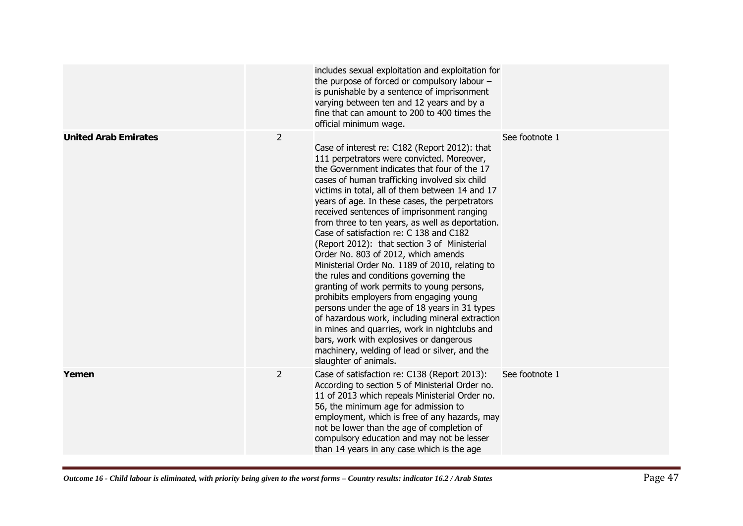|                             |                | includes sexual exploitation and exploitation for<br>the purpose of forced or compulsory labour -<br>is punishable by a sentence of imprisonment<br>varying between ten and 12 years and by a<br>fine that can amount to 200 to 400 times the<br>official minimum wage.                                                                                                                                                                                                                                                                                                                                                                                                                                                                                                                                                                                                                                                                                                                               |                |
|-----------------------------|----------------|-------------------------------------------------------------------------------------------------------------------------------------------------------------------------------------------------------------------------------------------------------------------------------------------------------------------------------------------------------------------------------------------------------------------------------------------------------------------------------------------------------------------------------------------------------------------------------------------------------------------------------------------------------------------------------------------------------------------------------------------------------------------------------------------------------------------------------------------------------------------------------------------------------------------------------------------------------------------------------------------------------|----------------|
| <b>United Arab Emirates</b> | $\overline{2}$ | Case of interest re: C182 (Report 2012): that<br>111 perpetrators were convicted. Moreover,<br>the Government indicates that four of the 17<br>cases of human trafficking involved six child<br>victims in total, all of them between 14 and 17<br>years of age. In these cases, the perpetrators<br>received sentences of imprisonment ranging<br>from three to ten years, as well as deportation.<br>Case of satisfaction re: C 138 and C182<br>(Report 2012): that section 3 of Ministerial<br>Order No. 803 of 2012, which amends<br>Ministerial Order No. 1189 of 2010, relating to<br>the rules and conditions governing the<br>granting of work permits to young persons,<br>prohibits employers from engaging young<br>persons under the age of 18 years in 31 types<br>of hazardous work, including mineral extraction<br>in mines and quarries, work in nightclubs and<br>bars, work with explosives or dangerous<br>machinery, welding of lead or silver, and the<br>slaughter of animals. | See footnote 1 |
| Yemen                       | $\overline{2}$ | Case of satisfaction re: C138 (Report 2013):<br>According to section 5 of Ministerial Order no.<br>11 of 2013 which repeals Ministerial Order no.<br>56, the minimum age for admission to<br>employment, which is free of any hazards, may<br>not be lower than the age of completion of<br>compulsory education and may not be lesser<br>than 14 years in any case which is the age                                                                                                                                                                                                                                                                                                                                                                                                                                                                                                                                                                                                                  | See footnote 1 |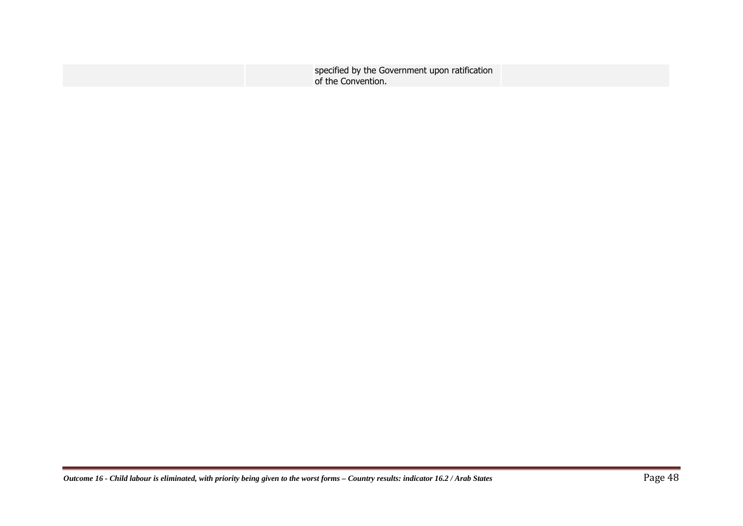| specified by the Government upon ratification |  |
|-----------------------------------------------|--|
| of the Convention.                            |  |
|                                               |  |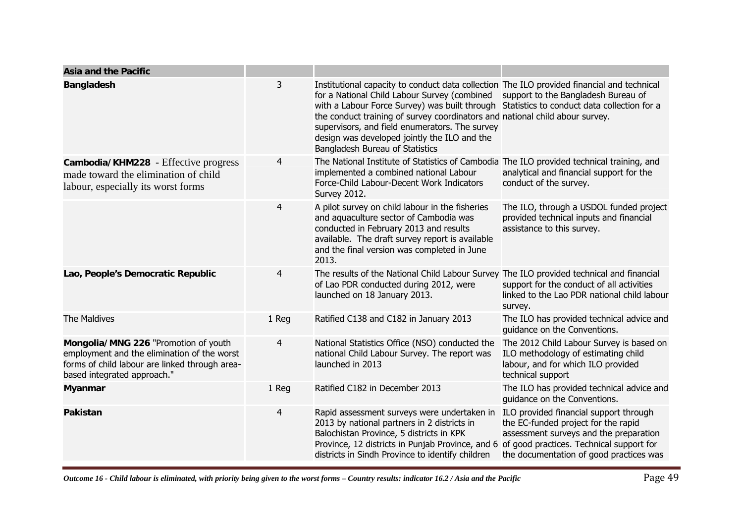| <b>Asia and the Pacific</b>                                                                                                                                          |       |                                                                                                                                                                                                                                                                                                                                                                                                                                                                                                  |                                                                                                                                                                                                                |
|----------------------------------------------------------------------------------------------------------------------------------------------------------------------|-------|--------------------------------------------------------------------------------------------------------------------------------------------------------------------------------------------------------------------------------------------------------------------------------------------------------------------------------------------------------------------------------------------------------------------------------------------------------------------------------------------------|----------------------------------------------------------------------------------------------------------------------------------------------------------------------------------------------------------------|
| <b>Bangladesh</b>                                                                                                                                                    | 3     | Institutional capacity to conduct data collection The ILO provided financial and technical<br>for a National Child Labour Survey (combined support to the Bangladesh Bureau of<br>with a Labour Force Survey) was built through Statistics to conduct data collection for a<br>the conduct training of survey coordinators and national child abour survey.<br>supervisors, and field enumerators. The survey<br>design was developed jointly the ILO and the<br>Bangladesh Bureau of Statistics |                                                                                                                                                                                                                |
| Cambodia/KHM228 - Effective progress<br>made toward the elimination of child<br>labour, especially its worst forms                                                   | 4     | The National Institute of Statistics of Cambodia The ILO provided technical training, and<br>implemented a combined national Labour<br>Force-Child Labour-Decent Work Indicators<br><b>Survey 2012.</b>                                                                                                                                                                                                                                                                                          | analytical and financial support for the<br>conduct of the survey.                                                                                                                                             |
|                                                                                                                                                                      | 4     | A pilot survey on child labour in the fisheries<br>and aquaculture sector of Cambodia was<br>conducted in February 2013 and results<br>available. The draft survey report is available<br>and the final version was completed in June<br>2013.                                                                                                                                                                                                                                                   | The ILO, through a USDOL funded project<br>provided technical inputs and financial<br>assistance to this survey.                                                                                               |
| Lao, People's Democratic Republic                                                                                                                                    | 4     | The results of the National Child Labour Survey The ILO provided technical and financial<br>of Lao PDR conducted during 2012, were<br>launched on 18 January 2013.                                                                                                                                                                                                                                                                                                                               | support for the conduct of all activities<br>linked to the Lao PDR national child labour<br>survey.                                                                                                            |
| The Maldives                                                                                                                                                         | 1 Reg | Ratified C138 and C182 in January 2013                                                                                                                                                                                                                                                                                                                                                                                                                                                           | The ILO has provided technical advice and<br>guidance on the Conventions.                                                                                                                                      |
| Mongolia/MNG 226 "Promotion of youth<br>employment and the elimination of the worst<br>forms of child labour are linked through area-<br>based integrated approach." | 4     | National Statistics Office (NSO) conducted the<br>national Child Labour Survey. The report was<br>launched in 2013                                                                                                                                                                                                                                                                                                                                                                               | The 2012 Child Labour Survey is based on<br>ILO methodology of estimating child<br>labour, and for which ILO provided<br>technical support                                                                     |
| <b>Myanmar</b>                                                                                                                                                       | 1 Reg | Ratified C182 in December 2013                                                                                                                                                                                                                                                                                                                                                                                                                                                                   | The ILO has provided technical advice and<br>quidance on the Conventions.                                                                                                                                      |
| <b>Pakistan</b>                                                                                                                                                      | 4     | Rapid assessment surveys were undertaken in<br>2013 by national partners in 2 districts in<br>Balochistan Province, 5 districts in KPK<br>Province, 12 districts in Punjab Province, and 6<br>districts in Sindh Province to identify children                                                                                                                                                                                                                                                   | ILO provided financial support through<br>the EC-funded project for the rapid<br>assessment surveys and the preparation<br>of good practices. Technical support for<br>the documentation of good practices was |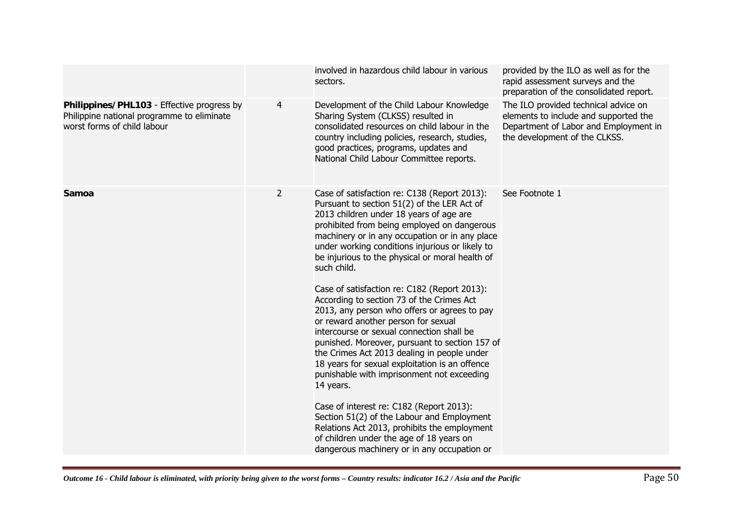|                                                                                                                         |                | involved in hazardous child labour in various<br>sectors.                                                                                                                                                                                                                                                                                                                                                                                                                                                                                                                                                                                                                                                                                                                                                                                                                                                                                                                                                                                        | provided by the ILO as well as for the<br>rapid assessment surveys and the<br>preparation of the consolidated report.                                   |
|-------------------------------------------------------------------------------------------------------------------------|----------------|--------------------------------------------------------------------------------------------------------------------------------------------------------------------------------------------------------------------------------------------------------------------------------------------------------------------------------------------------------------------------------------------------------------------------------------------------------------------------------------------------------------------------------------------------------------------------------------------------------------------------------------------------------------------------------------------------------------------------------------------------------------------------------------------------------------------------------------------------------------------------------------------------------------------------------------------------------------------------------------------------------------------------------------------------|---------------------------------------------------------------------------------------------------------------------------------------------------------|
| Philippines/PHL103 - Effective progress by<br>Philippine national programme to eliminate<br>worst forms of child labour | 4              | Development of the Child Labour Knowledge<br>Sharing System (CLKSS) resulted in<br>consolidated resources on child labour in the<br>country including policies, research, studies,<br>good practices, programs, updates and<br>National Child Labour Committee reports.                                                                                                                                                                                                                                                                                                                                                                                                                                                                                                                                                                                                                                                                                                                                                                          | The ILO provided technical advice on<br>elements to include and supported the<br>Department of Labor and Employment in<br>the development of the CLKSS. |
| Samoa                                                                                                                   | $\overline{2}$ | Case of satisfaction re: C138 (Report 2013):<br>Pursuant to section 51(2) of the LER Act of<br>2013 children under 18 years of age are<br>prohibited from being employed on dangerous<br>machinery or in any occupation or in any place<br>under working conditions injurious or likely to<br>be injurious to the physical or moral health of<br>such child.<br>Case of satisfaction re: C182 (Report 2013):<br>According to section 73 of the Crimes Act<br>2013, any person who offers or agrees to pay<br>or reward another person for sexual<br>intercourse or sexual connection shall be<br>punished. Moreover, pursuant to section 157 of<br>the Crimes Act 2013 dealing in people under<br>18 years for sexual exploitation is an offence<br>punishable with imprisonment not exceeding<br>14 years.<br>Case of interest re: C182 (Report 2013):<br>Section 51(2) of the Labour and Employment<br>Relations Act 2013, prohibits the employment<br>of children under the age of 18 years on<br>dangerous machinery or in any occupation or | See Footnote 1                                                                                                                                          |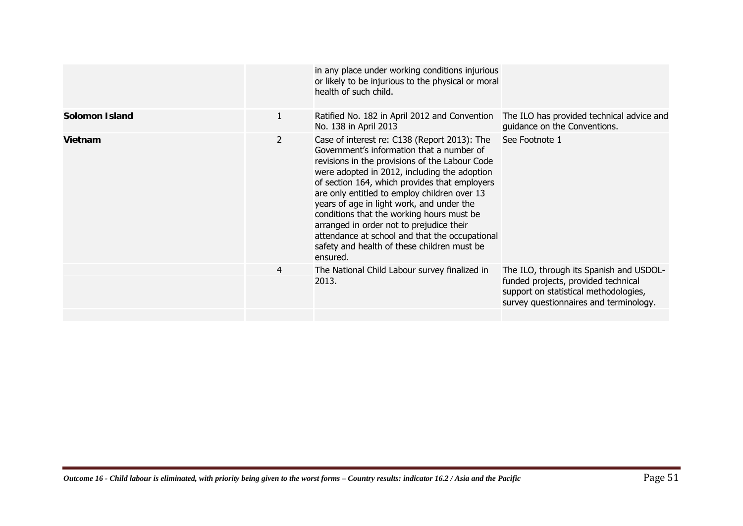|                       |                       | in any place under working conditions injurious<br>or likely to be injurious to the physical or moral<br>health of such child.                                                                                                                                                                                                                                                                                                                                                                                                                  |                                                                                                                                                                   |
|-----------------------|-----------------------|-------------------------------------------------------------------------------------------------------------------------------------------------------------------------------------------------------------------------------------------------------------------------------------------------------------------------------------------------------------------------------------------------------------------------------------------------------------------------------------------------------------------------------------------------|-------------------------------------------------------------------------------------------------------------------------------------------------------------------|
| <b>Solomon Island</b> | 1                     | Ratified No. 182 in April 2012 and Convention<br>No. 138 in April 2013                                                                                                                                                                                                                                                                                                                                                                                                                                                                          | The ILO has provided technical advice and<br>guidance on the Conventions.                                                                                         |
| Vietnam               | $\mathbf{2}^{\prime}$ | Case of interest re: C138 (Report 2013): The<br>Government's information that a number of<br>revisions in the provisions of the Labour Code<br>were adopted in 2012, including the adoption<br>of section 164, which provides that employers<br>are only entitled to employ children over 13<br>years of age in light work, and under the<br>conditions that the working hours must be<br>arranged in order not to prejudice their<br>attendance at school and that the occupational<br>safety and health of these children must be<br>ensured. | See Footnote 1                                                                                                                                                    |
|                       | 4                     | The National Child Labour survey finalized in<br>2013.                                                                                                                                                                                                                                                                                                                                                                                                                                                                                          | The ILO, through its Spanish and USDOL-<br>funded projects, provided technical<br>support on statistical methodologies,<br>survey questionnaires and terminology. |
|                       |                       |                                                                                                                                                                                                                                                                                                                                                                                                                                                                                                                                                 |                                                                                                                                                                   |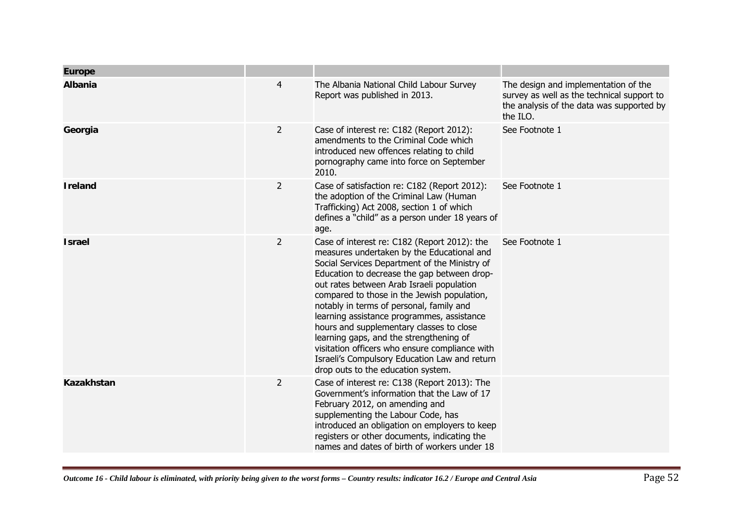| <b>Europe</b>  |                |                                                                                                                                                                                                                                                                                                                                                                                                                                                                                                                                                                                                                  |                                                                                                                                             |
|----------------|----------------|------------------------------------------------------------------------------------------------------------------------------------------------------------------------------------------------------------------------------------------------------------------------------------------------------------------------------------------------------------------------------------------------------------------------------------------------------------------------------------------------------------------------------------------------------------------------------------------------------------------|---------------------------------------------------------------------------------------------------------------------------------------------|
| <b>Albania</b> | $\overline{4}$ | The Albania National Child Labour Survey<br>Report was published in 2013.                                                                                                                                                                                                                                                                                                                                                                                                                                                                                                                                        | The design and implementation of the<br>survey as well as the technical support to<br>the analysis of the data was supported by<br>the ILO. |
| Georgia        | $\overline{2}$ | Case of interest re: C182 (Report 2012):<br>amendments to the Criminal Code which<br>introduced new offences relating to child<br>pornography came into force on September<br>2010.                                                                                                                                                                                                                                                                                                                                                                                                                              | See Footnote 1                                                                                                                              |
| <b>Ireland</b> | $\overline{2}$ | Case of satisfaction re: C182 (Report 2012):<br>the adoption of the Criminal Law (Human<br>Trafficking) Act 2008, section 1 of which<br>defines a "child" as a person under 18 years of<br>age.                                                                                                                                                                                                                                                                                                                                                                                                                  | See Footnote 1                                                                                                                              |
| <b>Israel</b>  | $\overline{2}$ | Case of interest re: C182 (Report 2012): the<br>measures undertaken by the Educational and<br>Social Services Department of the Ministry of<br>Education to decrease the gap between drop-<br>out rates between Arab Israeli population<br>compared to those in the Jewish population,<br>notably in terms of personal, family and<br>learning assistance programmes, assistance<br>hours and supplementary classes to close<br>learning gaps, and the strengthening of<br>visitation officers who ensure compliance with<br>Israeli's Compulsory Education Law and return<br>drop outs to the education system. | See Footnote 1                                                                                                                              |
| Kazakhstan     | 2              | Case of interest re: C138 (Report 2013): The<br>Government's information that the Law of 17<br>February 2012, on amending and<br>supplementing the Labour Code, has<br>introduced an obligation on employers to keep<br>registers or other documents, indicating the<br>names and dates of birth of workers under 18                                                                                                                                                                                                                                                                                             |                                                                                                                                             |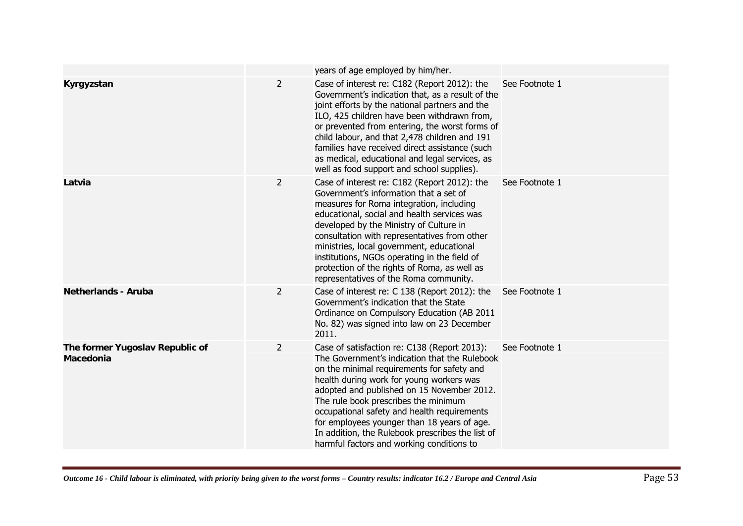|                                              |                | years of age employed by him/her.                                                                                                                                                                                                                                                                                                                                                                                                                                            |                |
|----------------------------------------------|----------------|------------------------------------------------------------------------------------------------------------------------------------------------------------------------------------------------------------------------------------------------------------------------------------------------------------------------------------------------------------------------------------------------------------------------------------------------------------------------------|----------------|
| Kyrgyzstan                                   | $\overline{2}$ | Case of interest re: C182 (Report 2012): the<br>Government's indication that, as a result of the<br>joint efforts by the national partners and the<br>ILO, 425 children have been withdrawn from,<br>or prevented from entering, the worst forms of<br>child labour, and that 2,478 children and 191<br>families have received direct assistance (such<br>as medical, educational and legal services, as<br>well as food support and school supplies).                       | See Footnote 1 |
| Latvia                                       | $\overline{2}$ | Case of interest re: C182 (Report 2012): the<br>Government's information that a set of<br>measures for Roma integration, including<br>educational, social and health services was<br>developed by the Ministry of Culture in<br>consultation with representatives from other<br>ministries, local government, educational<br>institutions, NGOs operating in the field of<br>protection of the rights of Roma, as well as<br>representatives of the Roma community.          | See Footnote 1 |
| <b>Netherlands - Aruba</b>                   | $\overline{2}$ | Case of interest re: C 138 (Report 2012): the<br>Government's indication that the State<br>Ordinance on Compulsory Education (AB 2011<br>No. 82) was signed into law on 23 December<br>2011.                                                                                                                                                                                                                                                                                 | See Footnote 1 |
| The former Yugoslav Republic of<br>Macedonia | $\overline{2}$ | Case of satisfaction re: C138 (Report 2013):<br>The Government's indication that the Rulebook<br>on the minimal requirements for safety and<br>health during work for young workers was<br>adopted and published on 15 November 2012.<br>The rule book prescribes the minimum<br>occupational safety and health requirements<br>for employees younger than 18 years of age.<br>In addition, the Rulebook prescribes the list of<br>harmful factors and working conditions to | See Footnote 1 |